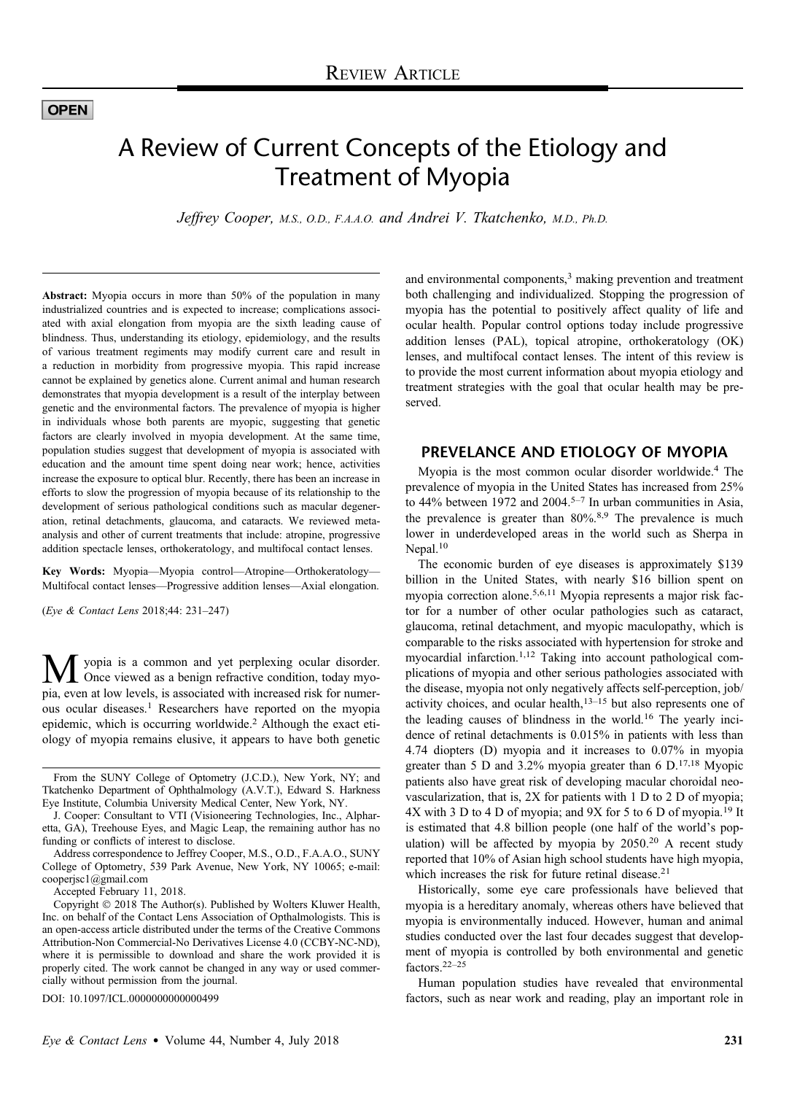## **OPEN**

# A Review of Current Concepts of the Etiology and Treatment of Myopia

Jeffrey Cooper, M.S., O.D., F.A.A.O. and Andrei V. Tkatchenko, M.D., Ph.D.

Abstract: Myopia occurs in more than 50% of the population in many industrialized countries and is expected to increase; complications associated with axial elongation from myopia are the sixth leading cause of blindness. Thus, understanding its etiology, epidemiology, and the results of various treatment regiments may modify current care and result in a reduction in morbidity from progressive myopia. This rapid increase cannot be explained by genetics alone. Current animal and human research demonstrates that myopia development is a result of the interplay between genetic and the environmental factors. The prevalence of myopia is higher in individuals whose both parents are myopic, suggesting that genetic factors are clearly involved in myopia development. At the same time, population studies suggest that development of myopia is associated with education and the amount time spent doing near work; hence, activities increase the exposure to optical blur. Recently, there has been an increase in efforts to slow the progression of myopia because of its relationship to the development of serious pathological conditions such as macular degeneration, retinal detachments, glaucoma, and cataracts. We reviewed metaanalysis and other of current treatments that include: atropine, progressive addition spectacle lenses, orthokeratology, and multifocal contact lenses.

Key Words: Myopia—Myopia control—Atropine—Orthokeratology— Multifocal contact lenses—Progressive addition lenses—Axial elongation.

(Eye & Contact Lens 2018;44: 231–247)

**M** yopia is a common and yet perplexing ocular disorder.<br>
Once viewed as a benign refractive condition, today myopia, even at low levels, is associated with increased risk for numerous ocular diseases.<sup>1</sup> Researchers have reported on the myopia epidemic, which is occurring worldwide.<sup>2</sup> Although the exact etiology of myopia remains elusive, it appears to have both genetic

Accepted February 11, 2018.

DOI: 10.1097/ICL.0000000000000499

and environmental components,<sup>3</sup> making prevention and treatment both challenging and individualized. Stopping the progression of myopia has the potential to positively affect quality of life and ocular health. Popular control options today include progressive addition lenses (PAL), topical atropine, orthokeratology (OK) lenses, and multifocal contact lenses. The intent of this review is to provide the most current information about myopia etiology and treatment strategies with the goal that ocular health may be preserved.

# PREVELANCE AND ETIOLOGY OF MYOPIA

Myopia is the most common ocular disorder worldwide.<sup>4</sup> The prevalence of myopia in the United States has increased from 25% to  $44\%$  between 1972 and  $2004$ .<sup>5-7</sup> In urban communities in Asia, the prevalence is greater than  $80\%$ ,  $8.9$  The prevalence is much lower in underdeveloped areas in the world such as Sherpa in Nepal.<sup>10</sup>

The economic burden of eye diseases is approximately \$139 billion in the United States, with nearly \$16 billion spent on myopia correction alone.5,6,11 Myopia represents a major risk factor for a number of other ocular pathologies such as cataract, glaucoma, retinal detachment, and myopic maculopathy, which is comparable to the risks associated with hypertension for stroke and myocardial infarction.1,12 Taking into account pathological complications of myopia and other serious pathologies associated with the disease, myopia not only negatively affects self-perception, job/ activity choices, and ocular health, $13-15$  but also represents one of the leading causes of blindness in the world.<sup>16</sup> The yearly incidence of retinal detachments is 0.015% in patients with less than 4.74 diopters (D) myopia and it increases to 0.07% in myopia greater than 5 D and 3.2% myopia greater than 6  $D$ .<sup>17,18</sup> Myopic patients also have great risk of developing macular choroidal neovascularization, that is, 2X for patients with 1 D to 2 D of myopia; 4X with 3 D to 4 D of myopia; and 9X for 5 to 6 D of myopia.<sup>19</sup> It is estimated that 4.8 billion people (one half of the world's population) will be affected by myopia by  $2050<sup>20</sup>$  A recent study reported that 10% of Asian high school students have high myopia, which increases the risk for future retinal disease.<sup>21</sup>

Historically, some eye care professionals have believed that myopia is a hereditary anomaly, whereas others have believed that myopia is environmentally induced. However, human and animal studies conducted over the last four decades suggest that development of myopia is controlled by both environmental and genetic factors.22–<sup>25</sup>

Human population studies have revealed that environmental factors, such as near work and reading, play an important role in

From the SUNY College of Optometry (J.C.D.), New York, NY; and Tkatchenko Department of Ophthalmology (A.V.T.), Edward S. Harkness Eye Institute, Columbia University Medical Center, New York, NY.

J. Cooper: Consultant to VTI (Visioneering Technologies, Inc., Alpharetta, GA), Treehouse Eyes, and Magic Leap, the remaining author has no funding or conflicts of interest to disclose.

Address correspondence to Jeffrey Cooper, M.S., O.D., F.A.A.O., SUNY College of Optometry, 539 Park Avenue, New York, NY 10065; e-mail: [cooperjsc1@gmail.com](mailto:cooperjsc1@gmail.com)

Copyright  $©$  2018 The Author(s). Published by Wolters Kluwer Health, Inc. on behalf of the Contact Lens Association of Opthalmologists. This is an open-access article distributed under the terms of the [Creative Commons](http://creativecommons.org/licenses/by-nc-nd/4.0/) [Attribution-Non Commercial-No Derivatives License 4.0 \(CCBY-NC-ND\)](http://creativecommons.org/licenses/by-nc-nd/4.0/), where it is permissible to download and share the work provided it is properly cited. The work cannot be changed in any way or used commercially without permission from the journal.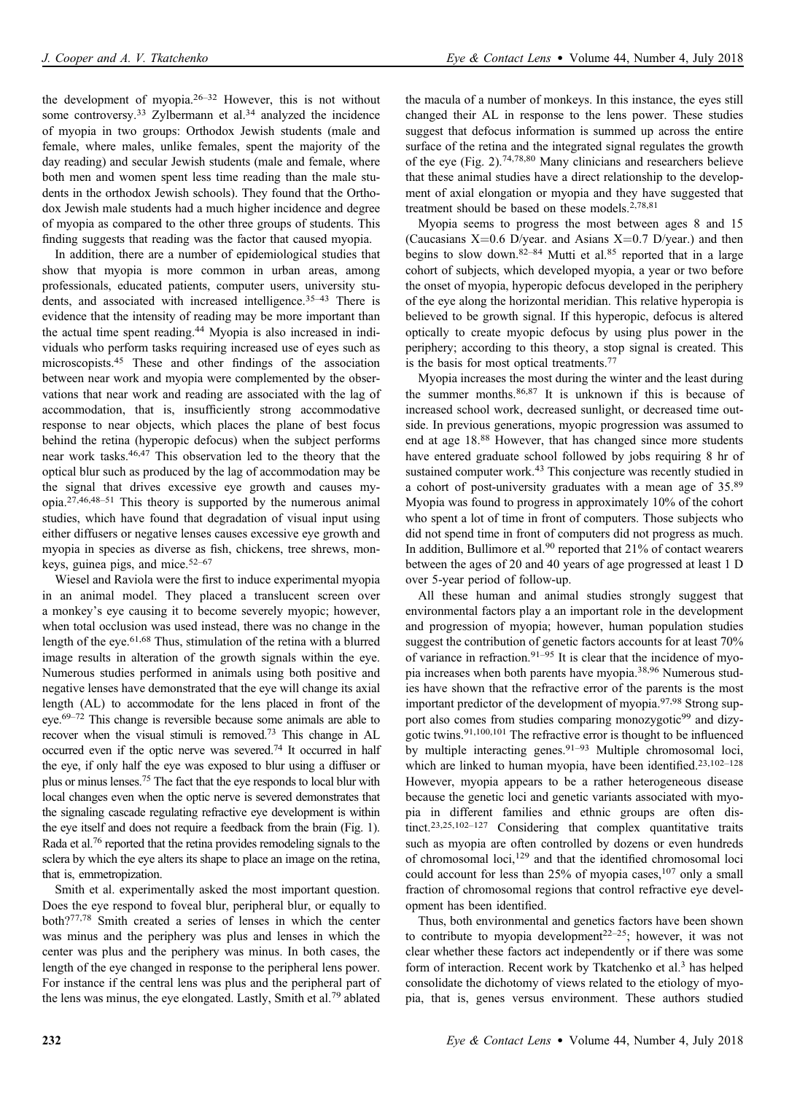the development of myopia.26–<sup>32</sup> However, this is not without some controversy.<sup>33</sup> Zylbermann et al.<sup>34</sup> analyzed the incidence of myopia in two groups: Orthodox Jewish students (male and female, where males, unlike females, spent the majority of the day reading) and secular Jewish students (male and female, where both men and women spent less time reading than the male students in the orthodox Jewish schools). They found that the Orthodox Jewish male students had a much higher incidence and degree of myopia as compared to the other three groups of students. This finding suggests that reading was the factor that caused myopia.

In addition, there are a number of epidemiological studies that show that myopia is more common in urban areas, among professionals, educated patients, computer users, university students, and associated with increased intelligence.<sup>35-43</sup> There is evidence that the intensity of reading may be more important than the actual time spent reading.<sup>44</sup> Myopia is also increased in individuals who perform tasks requiring increased use of eyes such as microscopists.<sup>45</sup> These and other findings of the association between near work and myopia were complemented by the observations that near work and reading are associated with the lag of accommodation, that is, insufficiently strong accommodative response to near objects, which places the plane of best focus behind the retina (hyperopic defocus) when the subject performs near work tasks.46,47 This observation led to the theory that the optical blur such as produced by the lag of accommodation may be the signal that drives excessive eye growth and causes myopia.27,46,48–<sup>51</sup> This theory is supported by the numerous animal studies, which have found that degradation of visual input using either diffusers or negative lenses causes excessive eye growth and myopia in species as diverse as fish, chickens, tree shrews, monkeys, guinea pigs, and mice. $52-67$ 

Wiesel and Raviola were the first to induce experimental myopia in an animal model. They placed a translucent screen over a monkey's eye causing it to become severely myopic; however, when total occlusion was used instead, there was no change in the length of the eye.<sup>61,68</sup> Thus, stimulation of the retina with a blurred image results in alteration of the growth signals within the eye. Numerous studies performed in animals using both positive and negative lenses have demonstrated that the eye will change its axial length (AL) to accommodate for the lens placed in front of the eye.69–<sup>72</sup> This change is reversible because some animals are able to recover when the visual stimuli is removed.<sup>73</sup> This change in AL occurred even if the optic nerve was severed.<sup>74</sup> It occurred in half the eye, if only half the eye was exposed to blur using a diffuser or plus or minus lenses.<sup>75</sup> The fact that the eye responds to local blur with local changes even when the optic nerve is severed demonstrates that the signaling cascade regulating refractive eye development is within the eye itself and does not require a feedback from the brain (Fig. 1). Rada et al.<sup>76</sup> reported that the retina provides remodeling signals to the sclera by which the eye alters its shape to place an image on the retina, that is, emmetropization.

Smith et al. experimentally asked the most important question. Does the eye respond to foveal blur, peripheral blur, or equally to both?77,78 Smith created a series of lenses in which the center was minus and the periphery was plus and lenses in which the center was plus and the periphery was minus. In both cases, the length of the eye changed in response to the peripheral lens power. For instance if the central lens was plus and the peripheral part of the lens was minus, the eye elongated. Lastly, Smith et al.<sup>79</sup> ablated

the macula of a number of monkeys. In this instance, the eyes still changed their AL in response to the lens power. These studies suggest that defocus information is summed up across the entire surface of the retina and the integrated signal regulates the growth of the eye (Fig. 2).74,78,80 Many clinicians and researchers believe that these animal studies have a direct relationship to the development of axial elongation or myopia and they have suggested that treatment should be based on these models.<sup>2,78,81</sup>

Myopia seems to progress the most between ages 8 and 15 (Caucasians  $X=0.6$  D/year. and Asians  $X=0.7$  D/year.) and then begins to slow down.<sup>82–84</sup> Mutti et al.<sup>85</sup> reported that in a large cohort of subjects, which developed myopia, a year or two before the onset of myopia, hyperopic defocus developed in the periphery of the eye along the horizontal meridian. This relative hyperopia is believed to be growth signal. If this hyperopic, defocus is altered optically to create myopic defocus by using plus power in the periphery; according to this theory, a stop signal is created. This is the basis for most optical treatments.<sup>77</sup>

Myopia increases the most during the winter and the least during the summer months.86,87 It is unknown if this is because of increased school work, decreased sunlight, or decreased time outside. In previous generations, myopic progression was assumed to end at age 18.<sup>88</sup> However, that has changed since more students have entered graduate school followed by jobs requiring 8 hr of sustained computer work.<sup>43</sup> This conjecture was recently studied in a cohort of post-university graduates with a mean age of 35.<sup>89</sup> Myopia was found to progress in approximately 10% of the cohort who spent a lot of time in front of computers. Those subjects who did not spend time in front of computers did not progress as much. In addition, Bullimore et al.<sup>90</sup> reported that  $21\%$  of contact wearers between the ages of 20 and 40 years of age progressed at least 1 D over 5-year period of follow-up.

All these human and animal studies strongly suggest that environmental factors play a an important role in the development and progression of myopia; however, human population studies suggest the contribution of genetic factors accounts for at least 70% of variance in refraction.<sup>91-95</sup> It is clear that the incidence of myopia increases when both parents have myopia.38,96 Numerous studies have shown that the refractive error of the parents is the most important predictor of the development of myopia.97,98 Strong support also comes from studies comparing monozygotic<sup>99</sup> and dizygotic twins.91,100,101 The refractive error is thought to be influenced by multiple interacting genes.<sup>91–93</sup> Multiple chromosomal loci, which are linked to human myopia, have been identified.<sup>23,102–128</sup> However, myopia appears to be a rather heterogeneous disease because the genetic loci and genetic variants associated with myopia in different families and ethnic groups are often distinct.<sup>23,25,102–127</sup> Considering that complex quantitative traits such as myopia are often controlled by dozens or even hundreds of chromosomal loci,<sup>129</sup> and that the identified chromosomal loci could account for less than 25% of myopia cases,<sup>107</sup> only a small fraction of chromosomal regions that control refractive eye development has been identified.

Thus, both environmental and genetics factors have been shown to contribute to myopia development<sup>22-25</sup>; however, it was not clear whether these factors act independently or if there was some form of interaction. Recent work by Tkatchenko et al.<sup>3</sup> has helped consolidate the dichotomy of views related to the etiology of myopia, that is, genes versus environment. These authors studied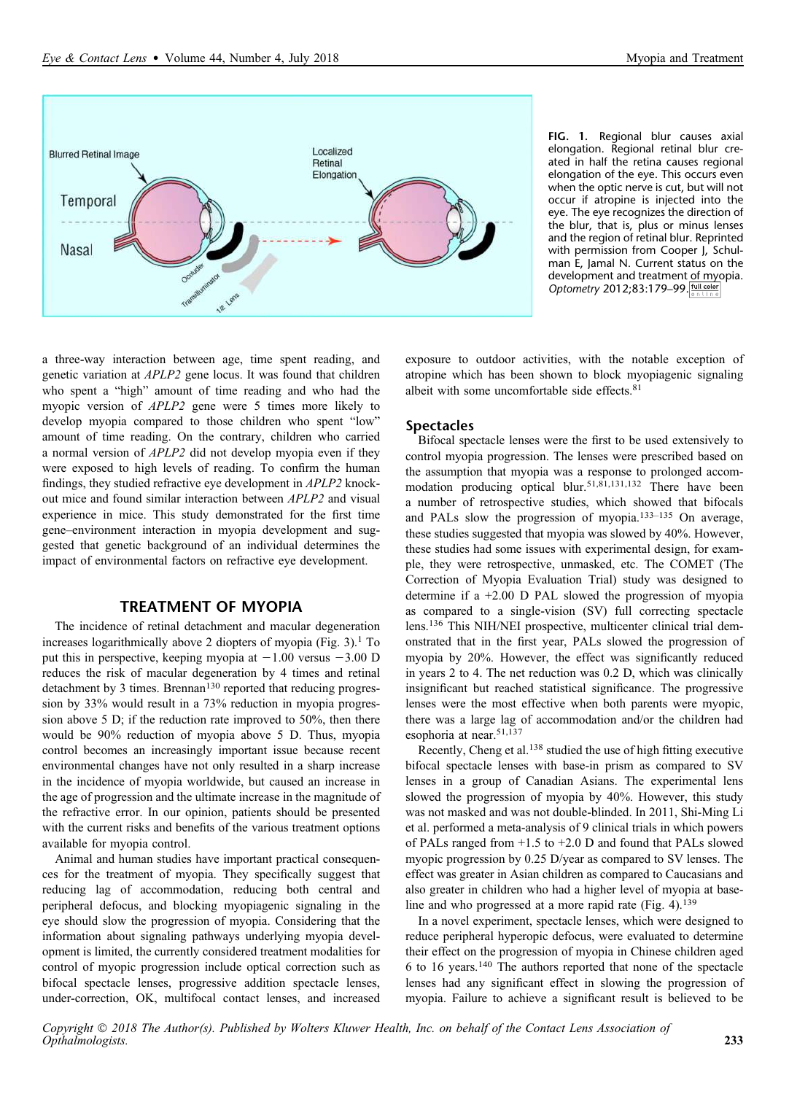

FIG. 1. Regional blur causes axial elongation. Regional retinal blur created in half the retina causes regional elongation of the eye. This occurs even when the optic nerve is cut, but will not occur if atropine is injected into the eye. The eye recognizes the direction of the blur, that is, plus or minus lenses and the region of retinal blur. Reprinted with permission from Cooper J, Schulman E, Jamal N. Current status on the development and treatment of myopia. Optometry 2012;83:179-99. <u>full color</u>

a three-way interaction between age, time spent reading, and genetic variation at APLP2 gene locus. It was found that children who spent a "high" amount of time reading and who had the myopic version of APLP2 gene were 5 times more likely to develop myopia compared to those children who spent "low" amount of time reading. On the contrary, children who carried a normal version of APLP2 did not develop myopia even if they were exposed to high levels of reading. To confirm the human findings, they studied refractive eye development in APLP2 knockout mice and found similar interaction between APLP2 and visual experience in mice. This study demonstrated for the first time gene–environment interaction in myopia development and suggested that genetic background of an individual determines the impact of environmental factors on refractive eye development.

# TREATMENT OF MYOPIA

The incidence of retinal detachment and macular degeneration increases logarithmically above 2 diopters of myopia  $(Fig. 3)$ .<sup>1</sup> To put this in perspective, keeping myopia at  $-1.00$  versus  $-3.00$  D reduces the risk of macular degeneration by 4 times and retinal detachment by 3 times. Brennan<sup>130</sup> reported that reducing progression by 33% would result in a 73% reduction in myopia progression above 5 D; if the reduction rate improved to 50%, then there would be 90% reduction of myopia above 5 D. Thus, myopia control becomes an increasingly important issue because recent environmental changes have not only resulted in a sharp increase in the incidence of myopia worldwide, but caused an increase in the age of progression and the ultimate increase in the magnitude of the refractive error. In our opinion, patients should be presented with the current risks and benefits of the various treatment options available for myopia control.

Animal and human studies have important practical consequences for the treatment of myopia. They specifically suggest that reducing lag of accommodation, reducing both central and peripheral defocus, and blocking myopiagenic signaling in the eye should slow the progression of myopia. Considering that the information about signaling pathways underlying myopia development is limited, the currently considered treatment modalities for control of myopic progression include optical correction such as bifocal spectacle lenses, progressive addition spectacle lenses, under-correction, OK, multifocal contact lenses, and increased exposure to outdoor activities, with the notable exception of atropine which has been shown to block myopiagenic signaling albeit with some uncomfortable side effects.<sup>81</sup>

### **Spectacles**

Bifocal spectacle lenses were the first to be used extensively to control myopia progression. The lenses were prescribed based on the assumption that myopia was a response to prolonged accommodation producing optical blur.51,81,131,132 There have been a number of retrospective studies, which showed that bifocals and PALs slow the progression of myopia. $133-135$  On average, these studies suggested that myopia was slowed by 40%. However, these studies had some issues with experimental design, for example, they were retrospective, unmasked, etc. The COMET (The Correction of Myopia Evaluation Trial) study was designed to determine if a +2.00 D PAL slowed the progression of myopia as compared to a single-vision (SV) full correcting spectacle lens.<sup>136</sup> This NIH/NEI prospective, multicenter clinical trial demonstrated that in the first year, PALs slowed the progression of myopia by 20%. However, the effect was significantly reduced in years 2 to 4. The net reduction was 0.2 D, which was clinically insignificant but reached statistical significance. The progressive lenses were the most effective when both parents were myopic, there was a large lag of accommodation and/or the children had esophoria at near.<sup>51,137</sup>

Recently, Cheng et al.<sup>138</sup> studied the use of high fitting executive bifocal spectacle lenses with base-in prism as compared to SV lenses in a group of Canadian Asians. The experimental lens slowed the progression of myopia by 40%. However, this study was not masked and was not double-blinded. In 2011, Shi-Ming Li et al. performed a meta-analysis of 9 clinical trials in which powers of PALs ranged from +1.5 to +2.0 D and found that PALs slowed myopic progression by 0.25 D/year as compared to SV lenses. The effect was greater in Asian children as compared to Caucasians and also greater in children who had a higher level of myopia at baseline and who progressed at a more rapid rate (Fig. 4).<sup>139</sup>

In a novel experiment, spectacle lenses, which were designed to reduce peripheral hyperopic defocus, were evaluated to determine their effect on the progression of myopia in Chinese children aged 6 to 16 years.<sup>140</sup> The authors reported that none of the spectacle lenses had any significant effect in slowing the progression of myopia. Failure to achieve a significant result is believed to be

Copyright  $\odot$  2018 The Author(s). Published by Wolters Kluwer Health, Inc. on behalf of the Contact Lens Association of Opthalmologists. 233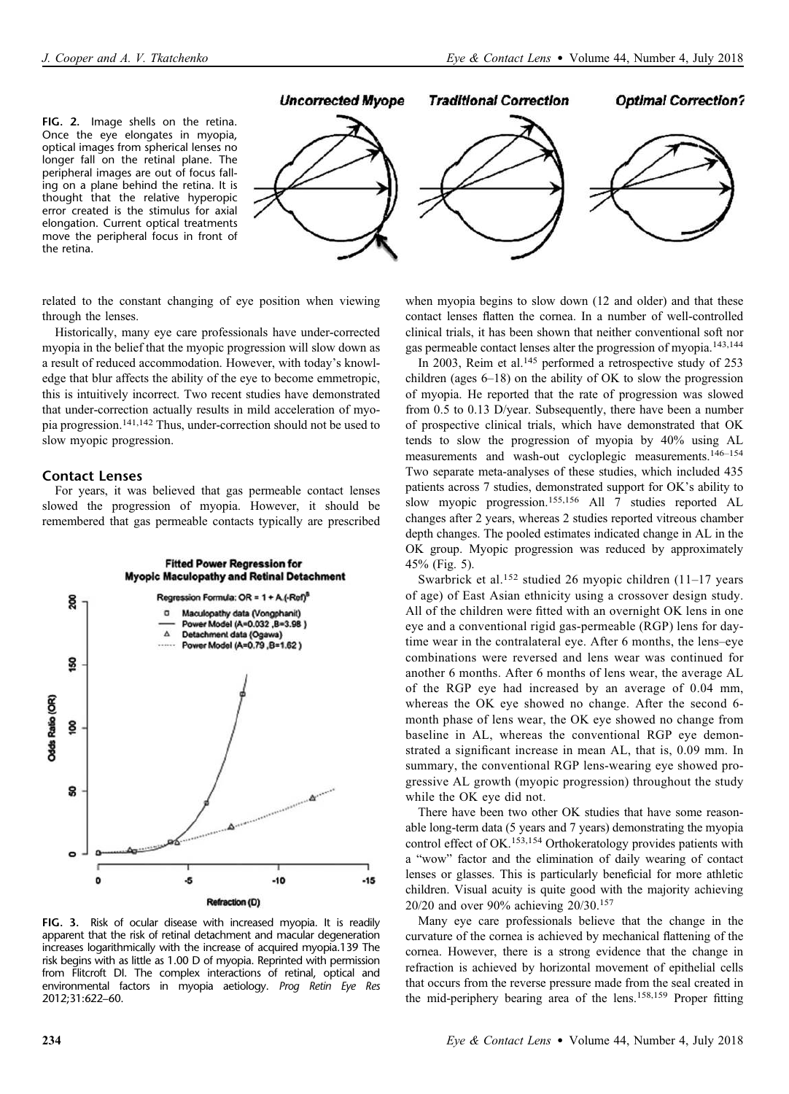



related to the constant changing of eye position when viewing through the lenses.

Historically, many eye care professionals have under-corrected myopia in the belief that the myopic progression will slow down as a result of reduced accommodation. However, with today's knowledge that blur affects the ability of the eye to become emmetropic, this is intuitively incorrect. Two recent studies have demonstrated that under-correction actually results in mild acceleration of myopia progression.141,142 Thus, under-correction should not be used to slow myopic progression.

### Contact Lenses

For years, it was believed that gas permeable contact lenses slowed the progression of myopia. However, it should be remembered that gas permeable contacts typically are prescribed



FIG. 3. Risk of ocular disease with increased myopia. It is readily apparent that the risk of retinal detachment and macular degeneration increases logarithmically with the increase of acquired myopia.139 The risk begins with as little as 1.00 D of myopia. Reprinted with permission from Flitcroft DI. The complex interactions of retinal, optical and environmental factors in myopia aetiology. Prog Retin Eye Res 2012;31:622–60.

when myopia begins to slow down (12 and older) and that these contact lenses flatten the cornea. In a number of well-controlled clinical trials, it has been shown that neither conventional soft nor gas permeable contact lenses alter the progression of myopia.143,144

In 2003, Reim et al.<sup>145</sup> performed a retrospective study of 253 children (ages  $6-18$ ) on the ability of OK to slow the progression of myopia. He reported that the rate of progression was slowed from 0.5 to 0.13 D/year. Subsequently, there have been a number of prospective clinical trials, which have demonstrated that OK tends to slow the progression of myopia by 40% using AL measurements and wash-out cycloplegic measurements.146–<sup>154</sup> Two separate meta-analyses of these studies, which included 435 patients across 7 studies, demonstrated support for OK's ability to slow myopic progression.155,156 All 7 studies reported AL changes after 2 years, whereas 2 studies reported vitreous chamber depth changes. The pooled estimates indicated change in AL in the OK group. Myopic progression was reduced by approximately 45% (Fig. 5).

Swarbrick et al.<sup>152</sup> studied 26 myopic children (11–17 years of age) of East Asian ethnicity using a crossover design study. All of the children were fitted with an overnight OK lens in one eye and a conventional rigid gas-permeable (RGP) lens for daytime wear in the contralateral eye. After 6 months, the lens–eye combinations were reversed and lens wear was continued for another 6 months. After 6 months of lens wear, the average AL of the RGP eye had increased by an average of 0.04 mm, whereas the OK eye showed no change. After the second 6 month phase of lens wear, the OK eye showed no change from baseline in AL, whereas the conventional RGP eye demonstrated a significant increase in mean AL, that is, 0.09 mm. In summary, the conventional RGP lens-wearing eye showed progressive AL growth (myopic progression) throughout the study while the OK eye did not.

There have been two other OK studies that have some reasonable long-term data (5 years and 7 years) demonstrating the myopia control effect of OK.<sup>153,154</sup> Orthokeratology provides patients with a "wow" factor and the elimination of daily wearing of contact lenses or glasses. This is particularly beneficial for more athletic children. Visual acuity is quite good with the majority achieving 20/20 and over 90% achieving 20/30.<sup>157</sup>

Many eye care professionals believe that the change in the curvature of the cornea is achieved by mechanical flattening of the cornea. However, there is a strong evidence that the change in refraction is achieved by horizontal movement of epithelial cells that occurs from the reverse pressure made from the seal created in the mid-periphery bearing area of the lens.158,159 Proper fitting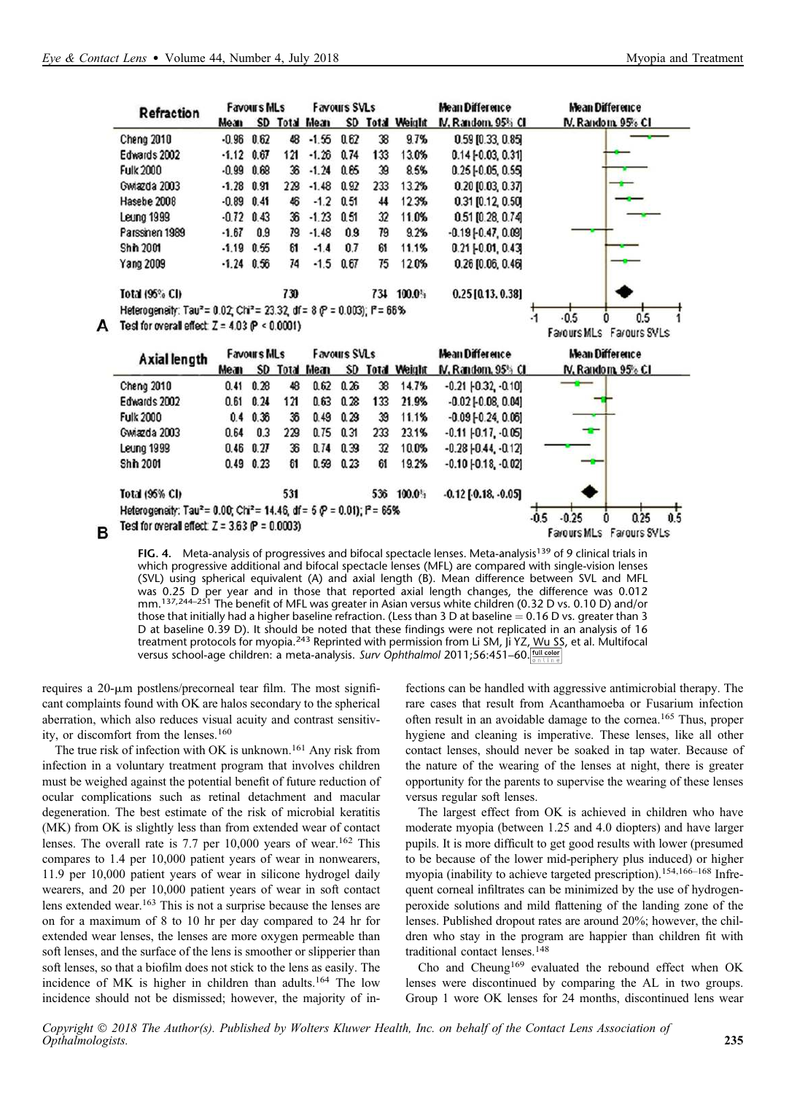A

B

| Refraction                                                                                     |         | <b>Favours MLs</b> |     |                     | <b>Favours SVLs</b> |     |                     | Mean Difference            | Mean Difference                  |
|------------------------------------------------------------------------------------------------|---------|--------------------|-----|---------------------|---------------------|-----|---------------------|----------------------------|----------------------------------|
|                                                                                                | Mean    |                    |     | SD Total Mean       |                     |     | SD Total Weight     | IV. Random, 95% CI         | N. Random 95% CI                 |
| Cheng 2010                                                                                     | $-0.96$ | 0.62               | 48  | $-1.56$             | 0.62                | 38  | 9.7%                | $0.59$ [0.33, 0.85]        |                                  |
| Edwards 2002                                                                                   | $-1.12$ | 0.67               | 121 | $-1.26$             | 0.74                | 133 | 13.0%               | $0.14$ $[-0.03, 0.31]$     |                                  |
| <b>Fulk 2000</b>                                                                               | $-0.99$ | 0.68               | 36  | $-1.24$             | 0.65                | 39  | 8.5%                | $0.25$ [-0.05, 0.55]       |                                  |
| Gwiazda 2003                                                                                   | $-1.28$ | 0.91               | 229 | $-1.48$             | 0.92                | 233 | 13.2%               | 0.20 (0.03, 0.37)          |                                  |
| Hasebe 2008                                                                                    | $-0.89$ | 0.41               | 46  | $-1.2$              | 0.51                | 44  | 12.3%               | $0.31$ [0.12, 0.50]        |                                  |
| Leung 1999                                                                                     | $-0.72$ | 0.43               | 36  | $-1.23$             | 0.51                | 32  | 11.0%               | 0.51 [0.28, 0.74]          |                                  |
| Parssinen 1989                                                                                 | $-1.67$ | 0.9                | 79  | $-1.48$             | 0.9                 | 79  | 9.2%                | $-0.19[-0.47, 0.09]$       |                                  |
| Shih 2001                                                                                      | $-1.19$ | 0.55               | 61  | $-1.4$              | 0.7                 | 61  | 11.1%               | $0.21$ $[-0.01, 0.43]$     |                                  |
| Yang 2009                                                                                      |         | $-1.24$ 0.56       | 74  | $-1.5$              | 0.67                | 75  | 12.0%               | $0.26$ [0.06, 0.46]        |                                  |
| Total (95% CI)                                                                                 |         |                    | 730 |                     |                     |     | 734 100.0%          | $0.25$ [0.13, 0.38]        |                                  |
| Heterogeneity: Tau <sup>2</sup> = 0.02; Chi <sup>2</sup> = 23.32; df = 8 (P = 0.003); P = 66%  |         |                    |     |                     |                     |     |                     |                            |                                  |
| Test for overall effect $Z = 4.03$ (P < 0.0001)                                                |         |                    |     |                     |                     |     |                     |                            | $-0.5$<br>0.5<br>$\cdot$ 1       |
|                                                                                                |         |                    |     |                     |                     |     |                     |                            | Fayours MLs Fayours SVLs         |
| <b>Axial length</b>                                                                            |         | <b>Favours MLs</b> |     | <b>Favours SVLs</b> |                     |     |                     | Mean Difference            | <b>Mean Difference</b>           |
|                                                                                                | Mean    | <b>SD</b>          |     | Total Mean          | <b>SD</b>           |     | <b>Total Weight</b> | IV, Random, 95% CI         | N. Random, 95% CI                |
| Cheng 2010                                                                                     | 0.41    | 0.28               | 48  | 0.62                | 0.26                | 38  | 14.7%               | $-0.21$ $[-0.32, 0.10]$    |                                  |
| Edwards 2002                                                                                   | 0.61    | 0.24               | 121 | 0.63                | 0.28                | 133 | 21.9%               | $-0.02$ $[-0.08, 0.04]$    |                                  |
| <b>Fulk 2000</b>                                                                               | 0.4     | 0.36               | 36  | 0.49                | 0.29                | 39  | 11.1%               | $-0.09$ $[-0.24, 0.06]$    |                                  |
| Gwiazda 2003                                                                                   | 0.64    | 0.3                | 229 | 0.75                | 0.31                | 233 | 23.1%               | $-0.11$ $-0.17$ . $-0.05$  |                                  |
| Leung 1999                                                                                     | 0.46    | 0.27               | 36  | 0.74                | 0.39                | 32  | 10.0%               | $-0.28$ $[-0.44, -0.12]$   |                                  |
| <b>Shh 2001</b>                                                                                | 0.49    | 0.23               | 61  | 0.59                | 0.23                | 61  | 19.2%               | $-0.10[-0.18, -0.02]$      |                                  |
| Total (95% CI)                                                                                 |         |                    | 531 |                     |                     |     | 536 100.0%          | $-0.12$ [ $-0.18, -0.05$ ] |                                  |
| Heterogeneity: Tau <sup>2</sup> = 0.00; Chi <sup>2</sup> = 14.46, df = 5 $P = 0.01$ ); P = 65% |         |                    |     |                     |                     |     |                     |                            |                                  |
| Test for overall effect $Z = 3.63$ (P = 0.0003)                                                |         |                    |     |                     |                     |     |                     |                            | $-0.5$<br>$-0.25$<br>0.25<br>0.5 |
|                                                                                                |         |                    |     |                     |                     |     |                     |                            | Farours SVLs<br>Farours MLs      |

FIG. 4. Meta-analysis of progressives and bifocal spectacle lenses. Meta-analysis<sup>139</sup> of 9 clinical trials in which progressive additional and bifocal spectacle lenses (MFL) are compared with single-vision lenses (SVL) using spherical equivalent (A) and axial length (B). Mean difference between SVL and MFL was 0.25 D per year and in those that reported axial length changes, the difference was 0.012<br>mm.<sup>137,244–251</sup> The benefit of MFL was greater in Asian versus white children (0.32 D vs. 0.10 D) and/or those that initially had a higher baseline refraction. (Less than 3 D at baseline  $= 0.16$  D vs. greater than 3 D at baseline 0.39 D). It should be noted that these findings were not replicated in an analysis of 16 treatment protocols for myopia.<sup>243</sup> Reprinted with permission from Li SM, Ji YZ, Wu SS, et al. Multifocal versus school-age children: a meta-analysis. Surv Ophthalmol 2011;56:451-60.

requires a  $20$ - $\mu$ m postlens/precorneal tear film. The most significant complaints found with OK are halos secondary to the spherical aberration, which also reduces visual acuity and contrast sensitivity, or discomfort from the lenses.<sup>160</sup>

The true risk of infection with OK is unknown.<sup>161</sup> Any risk from infection in a voluntary treatment program that involves children must be weighed against the potential benefit of future reduction of ocular complications such as retinal detachment and macular degeneration. The best estimate of the risk of microbial keratitis (MK) from OK is slightly less than from extended wear of contact lenses. The overall rate is 7.7 per  $10,000$  years of wear.<sup>162</sup> This compares to 1.4 per 10,000 patient years of wear in nonwearers, 11.9 per 10,000 patient years of wear in silicone hydrogel daily wearers, and 20 per 10,000 patient years of wear in soft contact lens extended wear.<sup>163</sup> This is not a surprise because the lenses are on for a maximum of 8 to 10 hr per day compared to 24 hr for extended wear lenses, the lenses are more oxygen permeable than soft lenses, and the surface of the lens is smoother or slipperier than soft lenses, so that a biofilm does not stick to the lens as easily. The incidence of MK is higher in children than adults.<sup>164</sup> The low incidence should not be dismissed; however, the majority of infections can be handled with aggressive antimicrobial therapy. The rare cases that result from Acanthamoeba or Fusarium infection often result in an avoidable damage to the cornea.<sup>165</sup> Thus, proper hygiene and cleaning is imperative. These lenses, like all other contact lenses, should never be soaked in tap water. Because of the nature of the wearing of the lenses at night, there is greater opportunity for the parents to supervise the wearing of these lenses versus regular soft lenses.

The largest effect from OK is achieved in children who have moderate myopia (between 1.25 and 4.0 diopters) and have larger pupils. It is more difficult to get good results with lower (presumed to be because of the lower mid-periphery plus induced) or higher myopia (inability to achieve targeted prescription).154,166–<sup>168</sup> Infrequent corneal infiltrates can be minimized by the use of hydrogenperoxide solutions and mild flattening of the landing zone of the lenses. Published dropout rates are around 20%; however, the children who stay in the program are happier than children fit with traditional contact lenses.<sup>148</sup>

Cho and Cheung<sup>169</sup> evaluated the rebound effect when OK lenses were discontinued by comparing the AL in two groups. Group 1 wore OK lenses for 24 months, discontinued lens wear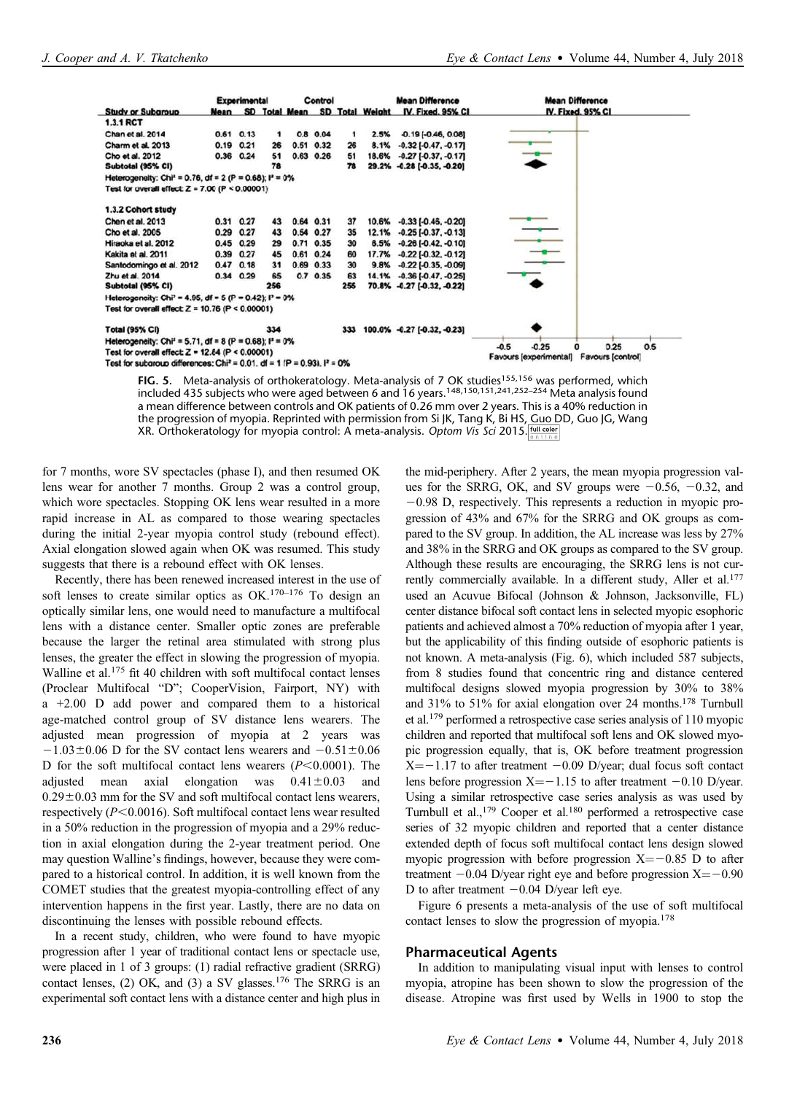

FIG. 5. Meta-analysis of orthokeratology. Meta-analysis of 7 OK studies<sup>155,156</sup> was performed, which included 435 subjects who were aged between 6 and 16 years.148,150,151,241,252–254 Meta analysis found a mean difference between controls and OK patients of 0.26 mm over 2 years. This is a 40% reduction in the progression of myopia. Reprinted with permission from Si JK, Tang K, Bi HS, Guo DD, Guo JG, Wang XR. Orthokeratology for myopia control: A meta-analysis. Optom Vis Sci 2015.

for 7 months, wore SV spectacles (phase I), and then resumed OK lens wear for another 7 months. Group 2 was a control group, which wore spectacles. Stopping OK lens wear resulted in a more rapid increase in AL as compared to those wearing spectacles during the initial 2-year myopia control study (rebound effect). Axial elongation slowed again when OK was resumed. This study suggests that there is a rebound effect with OK lenses.

Recently, there has been renewed increased interest in the use of soft lenses to create similar optics as OK.170–<sup>176</sup> To design an optically similar lens, one would need to manufacture a multifocal lens with a distance center. Smaller optic zones are preferable because the larger the retinal area stimulated with strong plus lenses, the greater the effect in slowing the progression of myopia. Walline et al.<sup>175</sup> fit 40 children with soft multifocal contact lenses (Proclear Multifocal "D"; CooperVision, Fairport, NY) with a +2.00 D add power and compared them to a historical age-matched control group of SV distance lens wearers. The adjusted mean progression of myopia at 2 years was  $-1.03\pm0.06$  D for the SV contact lens wearers and  $-0.51\pm0.06$ D for the soft multifocal contact lens wearers  $(P<0.0001)$ . The adjusted mean axial elongation was  $0.41 \pm 0.03$  and  $0.29\pm0.03$  mm for the SV and soft multifocal contact lens wearers, respectively  $(P<0.0016)$ . Soft multifocal contact lens wear resulted in a 50% reduction in the progression of myopia and a 29% reduction in axial elongation during the 2-year treatment period. One may question Walline's findings, however, because they were compared to a historical control. In addition, it is well known from the COMET studies that the greatest myopia-controlling effect of any intervention happens in the first year. Lastly, there are no data on discontinuing the lenses with possible rebound effects.

In a recent study, children, who were found to have myopic progression after 1 year of traditional contact lens or spectacle use, were placed in 1 of 3 groups: (1) radial refractive gradient (SRRG) contact lenses, (2) OK, and (3) a SV glasses.<sup>176</sup> The SRRG is an experimental soft contact lens with a distance center and high plus in the mid-periphery. After 2 years, the mean myopia progression values for the SRRG, OK, and SV groups were  $-0.56$ ,  $-0.32$ , and  $-0.98$  D, respectively. This represents a reduction in myopic progression of 43% and 67% for the SRRG and OK groups as compared to the SV group. In addition, the AL increase was less by 27% and 38% in the SRRG and OK groups as compared to the SV group. Although these results are encouraging, the SRRG lens is not currently commercially available. In a different study, Aller et al.<sup>177</sup> used an Acuvue Bifocal (Johnson & Johnson, Jacksonville, FL) center distance bifocal soft contact lens in selected myopic esophoric patients and achieved almost a 70% reduction of myopia after 1 year, but the applicability of this finding outside of esophoric patients is not known. A meta-analysis (Fig. 6), which included 587 subjects, from 8 studies found that concentric ring and distance centered multifocal designs slowed myopia progression by 30% to 38% and 31% to 51% for axial elongation over 24 months.<sup>178</sup> Turnbull et al.<sup>179</sup> performed a retrospective case series analysis of 110 myopic children and reported that multifocal soft lens and OK slowed myopic progression equally, that is, OK before treatment progression  $X=-1.17$  to after treatment  $-0.09$  D/year; dual focus soft contact lens before progression  $X = -1.15$  to after treatment  $-0.10$  D/year. Using a similar retrospective case series analysis as was used by Turnbull et al.,<sup>179</sup> Cooper et al.<sup>180</sup> performed a retrospective case series of 32 myopic children and reported that a center distance extended depth of focus soft multifocal contact lens design slowed myopic progression with before progression  $X = -0.85$  D to after treatment  $-0.04$  D/year right eye and before progression  $X = -0.90$ D to after treatment  $-0.04$  D/year left eye.

Figure 6 presents a meta-analysis of the use of soft multifocal contact lenses to slow the progression of myopia.<sup>178</sup>

#### Pharmaceutical Agents

In addition to manipulating visual input with lenses to control myopia, atropine has been shown to slow the progression of the disease. Atropine was first used by Wells in 1900 to stop the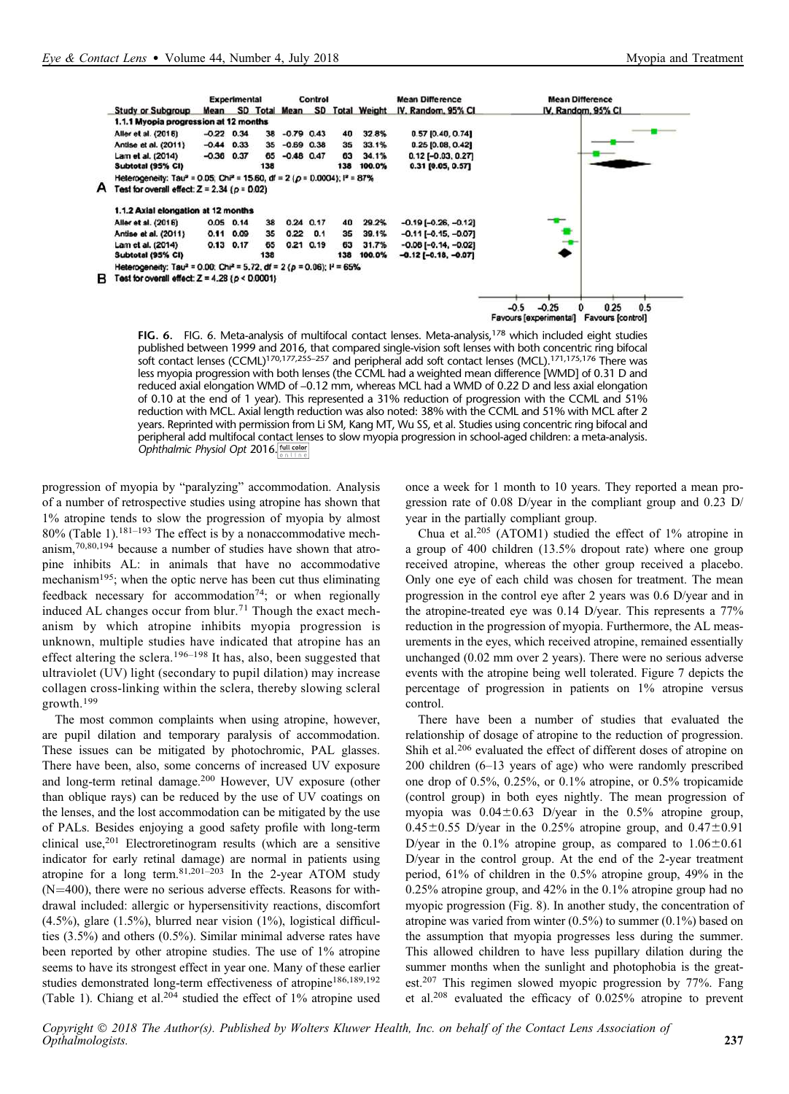

FIG. 6. FIG. 6. Meta-analysis of multifocal contact lenses. Meta-analysis,<sup>178</sup> which included eight studies published between 1999 and 2016, that compared single-vision soft lenses with both concentric ring bifocal soft contact lenses (CCML)<sup>170,177,255–257</sup> and peripheral add soft contact lenses (MCL).<sup>171,175,176</sup> There was less myopia progression with both lenses (the CCML had a weighted mean difference [WMD] of 0.31 D and reduced axial elongation WMD of –0.12 mm, whereas MCL had a WMD of 0.22 D and less axial elongation of 0.10 at the end of 1 year). This represented a 31% reduction of progression with the CCML and 51% reduction with MCL. Axial length reduction was also noted: 38% with the CCML and 51% with MCL after 2 years. Reprinted with permission from Li SM, Kang MT, Wu SS, et al. Studies using concentric ring bifocal and peripheral add multifocal contact lenses to slow myopia progression in school-aged children: a meta-analysis. Ophthalmic Physiol Opt 2016. **[full color]** 

progression of myopia by "paralyzing" accommodation. Analysis of a number of retrospective studies using atropine has shown that 1% atropine tends to slow the progression of myopia by almost 80% (Table 1).181–<sup>193</sup> The effect is by a nonaccommodative mechanism,70,80,194 because a number of studies have shown that atropine inhibits AL: in animals that have no accommodative mechanism<sup>195</sup>; when the optic nerve has been cut thus eliminating feedback necessary for accommodation<sup>74</sup>; or when regionally induced AL changes occur from blur.<sup>71</sup> Though the exact mechanism by which atropine inhibits myopia progression is unknown, multiple studies have indicated that atropine has an effect altering the sclera.<sup>196–198</sup> It has, also, been suggested that ultraviolet (UV) light (secondary to pupil dilation) may increase collagen cross-linking within the sclera, thereby slowing scleral growth.<sup>199</sup>

The most common complaints when using atropine, however, are pupil dilation and temporary paralysis of accommodation. These issues can be mitigated by photochromic, PAL glasses. There have been, also, some concerns of increased UV exposure and long-term retinal damage.<sup>200</sup> However, UV exposure (other than oblique rays) can be reduced by the use of UV coatings on the lenses, and the lost accommodation can be mitigated by the use of PALs. Besides enjoying a good safety profile with long-term clinical use, $201$  Electroretinogram results (which are a sensitive indicator for early retinal damage) are normal in patients using atropine for a long term.  $81,201-203$  In the 2-year ATOM study  $(N=400)$ , there were no serious adverse effects. Reasons for withdrawal included: allergic or hypersensitivity reactions, discomfort (4.5%), glare (1.5%), blurred near vision (1%), logistical difficulties (3.5%) and others (0.5%). Similar minimal adverse rates have been reported by other atropine studies. The use of 1% atropine seems to have its strongest effect in year one. Many of these earlier studies demonstrated long-term effectiveness of atropine<sup>186,189,192</sup> (Table 1). Chiang et al.<sup>204</sup> studied the effect of 1% atropine used once a week for 1 month to 10 years. They reported a mean progression rate of 0.08 D/year in the compliant group and 0.23 D/ year in the partially compliant group.

Chua et al.<sup>205</sup> (ATOM1) studied the effect of 1% atropine in a group of 400 children (13.5% dropout rate) where one group received atropine, whereas the other group received a placebo. Only one eye of each child was chosen for treatment. The mean progression in the control eye after 2 years was 0.6 D/year and in the atropine-treated eye was 0.14 D/year. This represents a 77% reduction in the progression of myopia. Furthermore, the AL measurements in the eyes, which received atropine, remained essentially unchanged (0.02 mm over 2 years). There were no serious adverse events with the atropine being well tolerated. Figure 7 depicts the percentage of progression in patients on 1% atropine versus control.

There have been a number of studies that evaluated the relationship of dosage of atropine to the reduction of progression. Shih et al.<sup>206</sup> evaluated the effect of different doses of atropine on 200 children (6–13 years of age) who were randomly prescribed one drop of 0.5%, 0.25%, or 0.1% atropine, or 0.5% tropicamide (control group) in both eyes nightly. The mean progression of myopia was  $0.04 \pm 0.63$  D/year in the 0.5% atropine group,  $0.45\pm0.55$  D/year in the 0.25% atropine group, and  $0.47\pm0.91$ D/year in the 0.1% atropine group, as compared to  $1.06 \pm 0.61$ D/year in the control group. At the end of the 2-year treatment period, 61% of children in the 0.5% atropine group, 49% in the 0.25% atropine group, and 42% in the 0.1% atropine group had no myopic progression (Fig. 8). In another study, the concentration of atropine was varied from winter (0.5%) to summer (0.1%) based on the assumption that myopia progresses less during the summer. This allowed children to have less pupillary dilation during the summer months when the sunlight and photophobia is the greatest.<sup>207</sup> This regimen slowed myopic progression by 77%. Fang et al.<sup>208</sup> evaluated the efficacy of 0.025% atropine to prevent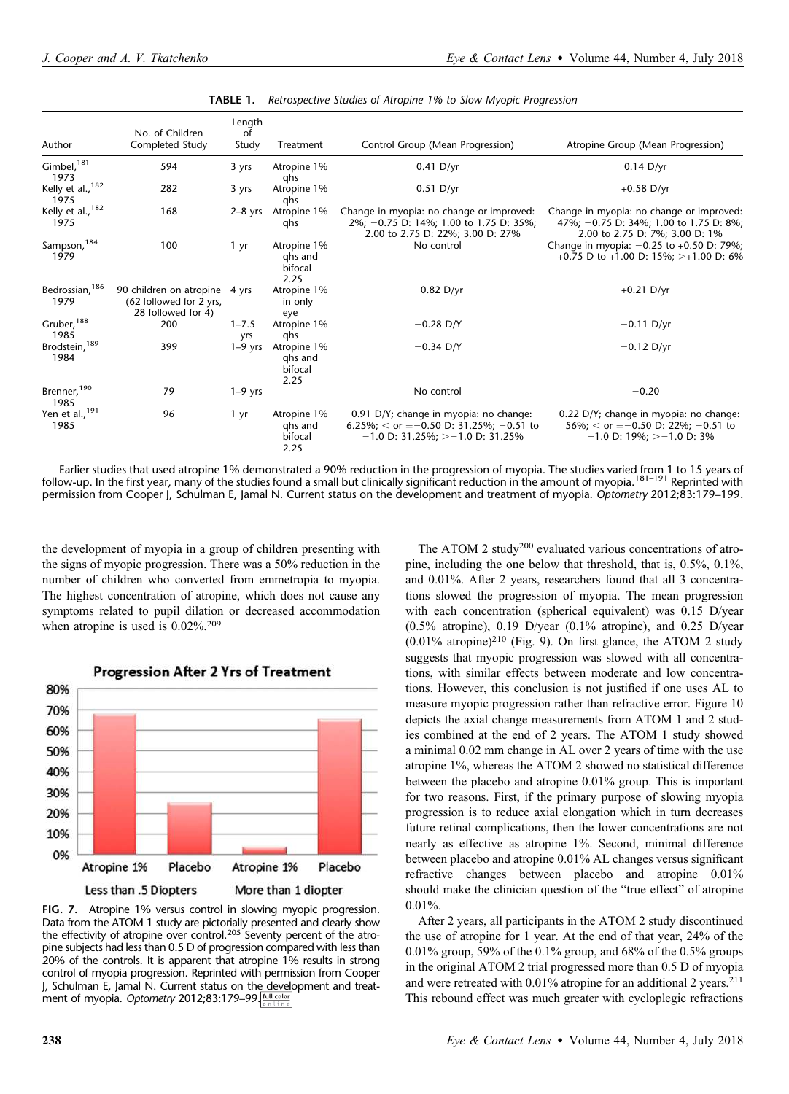| Author                           | No. of Children<br>Completed Study                                             | Length<br>of<br>Study | Treatment                                 | Control Group (Mean Progression)                                                                                               | Atropine Group (Mean Progression)                                                                                    |
|----------------------------------|--------------------------------------------------------------------------------|-----------------------|-------------------------------------------|--------------------------------------------------------------------------------------------------------------------------------|----------------------------------------------------------------------------------------------------------------------|
| $Gimbel,$ <sup>181</sup><br>1973 | 594                                                                            | 3 yrs                 | Atropine 1%<br>qhs                        | $0.41$ D/yr                                                                                                                    | $0.14$ D/yr                                                                                                          |
| Kelly et al., 182<br>1975        | 282                                                                            | 3 yrs                 | Atropine 1%<br>qhs                        | $0.51$ D/yr                                                                                                                    | $+0.58$ D/yr                                                                                                         |
| Kelly et al., 182<br>1975        | 168                                                                            | $2-8$ yrs             | Atropine 1%<br>qhs                        | Change in myopia: no change or improved:<br>2%; -0.75 D: 14%; 1.00 to 1.75 D: 35%;<br>2.00 to 2.75 D: 22%; 3.00 D: 27%         | Change in myopia: no change or improved:<br>47%; -0.75 D: 34%; 1.00 to 1.75 D: 8%;<br>2.00 to 2.75 D: 7%; 3.00 D: 1% |
| Sampson, 184<br>1979             | 100                                                                            | 1 yr                  | Atropine 1%<br>ghs and<br>bifocal<br>2.25 | No control                                                                                                                     | Change in myopia: $-0.25$ to $+0.50$ D: 79%;<br>+0.75 D to +1.00 D: 15%; >+1.00 D: 6%                                |
| Bedrossian, 186<br>1979          | 90 children on atropine 4 yrs<br>(62 followed for 2 yrs,<br>28 followed for 4) |                       | Atropine 1%<br>in only<br>eye             | $-0.82$ D/yr                                                                                                                   | $+0.21$ D/yr                                                                                                         |
| Gruber, 188<br>1985              | 200                                                                            | $1 - 7.5$<br>yrs      | Atropine 1%<br>qhs                        | $-0.28$ D/Y                                                                                                                    | $-0.11$ D/yr                                                                                                         |
| Brodstein, 189<br>1984           | 399                                                                            | $1-9$ yrs             | Atropine 1%<br>ghs and<br>bifocal<br>2.25 | $-0.34$ D/Y                                                                                                                    | $-0.12$ D/yr                                                                                                         |
| Brenner, 190<br>1985             | 79                                                                             | $1-9$ yrs             |                                           | No control                                                                                                                     | $-0.20$                                                                                                              |
| Yen et al., 191<br>1985          | 96                                                                             | 1 yr                  | Atropine 1%<br>ghs and<br>bifocal<br>2.25 | $-0.91$ D/Y; change in myopia: no change:<br>6.25%; $<$ or = -0.50 D: 31.25%; -0.51 to<br>$-1.0$ D: 31.25%; $> -1.0$ D: 31.25% | $-0.22$ D/Y; change in myopia: no change:<br>56%; $<$ or = -0.50 D: 22%; -0.51 to<br>$-1.0$ D: 19%; $>-1.0$ D: 3%    |

|  | <b>TABLE 1.</b> Retrospective Studies of Atropine 1% to Slow Myopic Progression |
|--|---------------------------------------------------------------------------------|
|  |                                                                                 |

Earlier studies that used atropine 1% demonstrated a 90% reduction in the progression of myopia. The studies varied from 1 to 15 years of follow-up. In the first year, many of the studies found a small but clinically significant reduction in the amount of myopia.<sup>181–191</sup> Reprinted with permission from Cooper J, Schulman E, Jamal N. Current status on the development and treatment of myopia. Optometry 2012;83:179-199.

the development of myopia in a group of children presenting with the signs of myopic progression. There was a 50% reduction in the number of children who converted from emmetropia to myopia. The highest concentration of atropine, which does not cause any symptoms related to pupil dilation or decreased accommodation when atropine is used is  $0.02\%$ .<sup>209</sup>



FIG. 7. Atropine 1% versus control in slowing myopic progression. Data from the ATOM 1 study are pictorially presented and clearly show the effectivity of atropine over control.<sup>205</sup> Seventy percent of the atropine subjects had less than 0.5 D of progression compared with less than 20% of the controls. It is apparent that atropine 1% results in strong control of myopia progression. Reprinted with permission from Cooper J, Schulman E, Jamal N. Current status on the development and treatment of myopia. Optometry 2012;83:179-99.

The ATOM 2 study<sup>200</sup> evaluated various concentrations of atropine, including the one below that threshold, that is, 0.5%, 0.1%, and 0.01%. After 2 years, researchers found that all 3 concentrations slowed the progression of myopia. The mean progression with each concentration (spherical equivalent) was 0.15 D/year  $(0.5\%$  atropine), 0.19 D/year  $(0.1\%$  atropine), and 0.25 D/year  $(0.01\%$  atropine)<sup>210</sup> (Fig. 9). On first glance, the ATOM 2 study suggests that myopic progression was slowed with all concentrations, with similar effects between moderate and low concentrations. However, this conclusion is not justified if one uses AL to measure myopic progression rather than refractive error. Figure 10 depicts the axial change measurements from ATOM 1 and 2 studies combined at the end of 2 years. The ATOM 1 study showed a minimal 0.02 mm change in AL over 2 years of time with the use atropine 1%, whereas the ATOM 2 showed no statistical difference between the placebo and atropine 0.01% group. This is important for two reasons. First, if the primary purpose of slowing myopia progression is to reduce axial elongation which in turn decreases future retinal complications, then the lower concentrations are not nearly as effective as atropine 1%. Second, minimal difference between placebo and atropine 0.01% AL changes versus significant refractive changes between placebo and atropine 0.01% should make the clinician question of the "true effect" of atropine 0.01%. After 2 years, all participants in the ATOM 2 study discontinued

the use of atropine for 1 year. At the end of that year, 24% of the 0.01% group, 59% of the 0.1% group, and 68% of the 0.5% groups in the original ATOM 2 trial progressed more than 0.5 D of myopia and were retreated with 0.01% atropine for an additional 2 years.<sup>211</sup> This rebound effect was much greater with cycloplegic refractions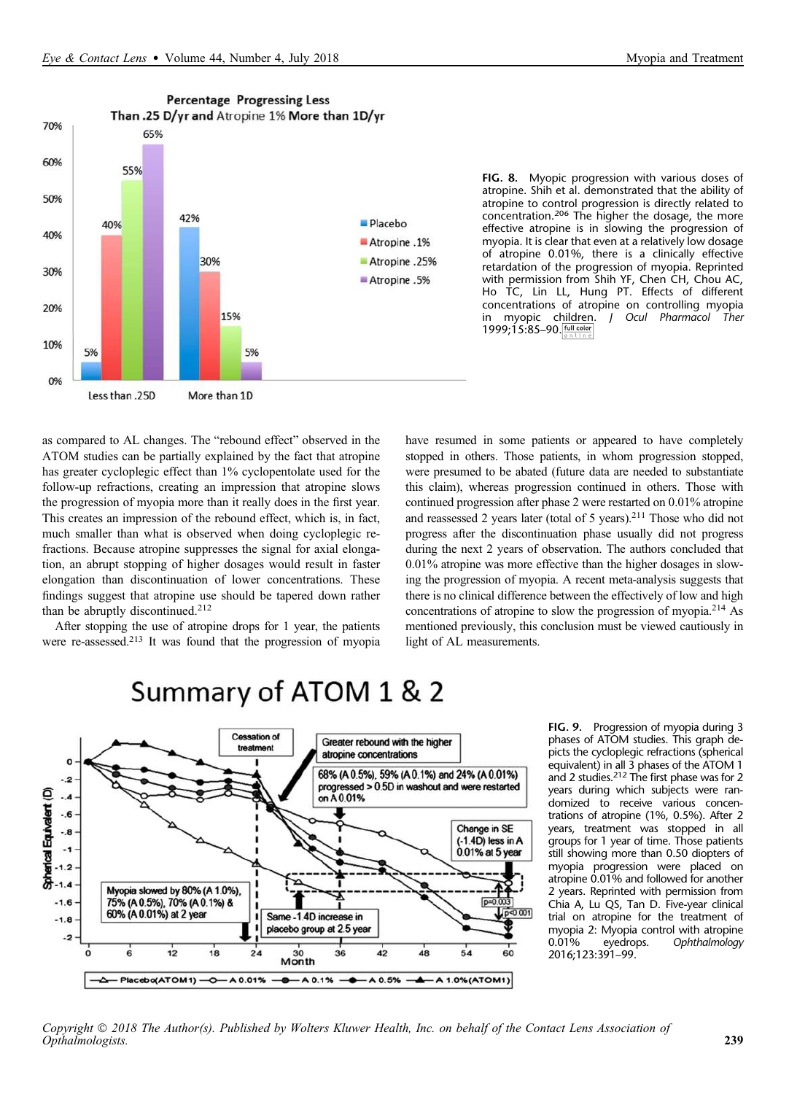

FIG. 8. Myopic progression with various doses of atropine. Shih et al. demonstrated that the ability of atropine to control progression is directly related to concentration.<sup>206</sup> The higher the dosage, the more effective atropine is in slowing the progression of myopia. It is clear that even at a relatively low dosage of atropine 0.01%, there is a clinically effective retardation of the progression of myopia. Reprinted with permission from Shih YF, Chen CH, Chou AC, Ho TC, Lin LL, Hung PT. Effects of different concentrations of atropine on controlling myopia in myopic children. J Ocul Pharmacol Ther 1999;15:85-90.

as compared to AL changes. The "rebound effect" observed in the ATOM studies can be partially explained by the fact that atropine has greater cycloplegic effect than 1% cyclopentolate used for the follow-up refractions, creating an impression that atropine slows the progression of myopia more than it really does in the first year. This creates an impression of the rebound effect, which is, in fact, much smaller than what is observed when doing cycloplegic refractions. Because atropine suppresses the signal for axial elongation, an abrupt stopping of higher dosages would result in faster elongation than discontinuation of lower concentrations. These findings suggest that atropine use should be tapered down rather than be abruptly discontinued.<sup>212</sup>

After stopping the use of atropine drops for 1 year, the patients were re-assessed.<sup>213</sup> It was found that the progression of myopia have resumed in some patients or appeared to have completely stopped in others. Those patients, in whom progression stopped, were presumed to be abated (future data are needed to substantiate this claim), whereas progression continued in others. Those with continued progression after phase 2 were restarted on 0.01% atropine and reassessed 2 years later (total of 5 years).<sup>211</sup> Those who did not progress after the discontinuation phase usually did not progress during the next 2 years of observation. The authors concluded that 0.01% atropine was more effective than the higher dosages in slowing the progression of myopia. A recent meta-analysis suggests that there is no clinical difference between the effectively of low and high concentrations of atropine to slow the progression of myopia.<sup>214</sup> As mentioned previously, this conclusion must be viewed cautiously in light of AL measurements.

# Summary of ATOM 1 & 2



FIG. 9. Progression of myopia during 3 phases of ATOM studies. This graph depicts the cycloplegic refractions (spherical equivalent) in all 3 phases of the ATOM 1 and 2 studies.<sup>212</sup> The first phase was for 2 years during which subjects were randomized to receive various concentrations of atropine (1%, 0.5%). After 2 years, treatment was stopped in all groups for 1 year of time. Those patients still showing more than 0.50 diopters of myopia progression were placed on atropine 0.01% and followed for another 2 years. Reprinted with permission from Chia A, Lu QS, Tan D. Five-year clinical trial on atropine for the treatment of myopia 2: Myopia control with atropine 0.01% eyedrops. Ophthalmology 2016;123:391–99.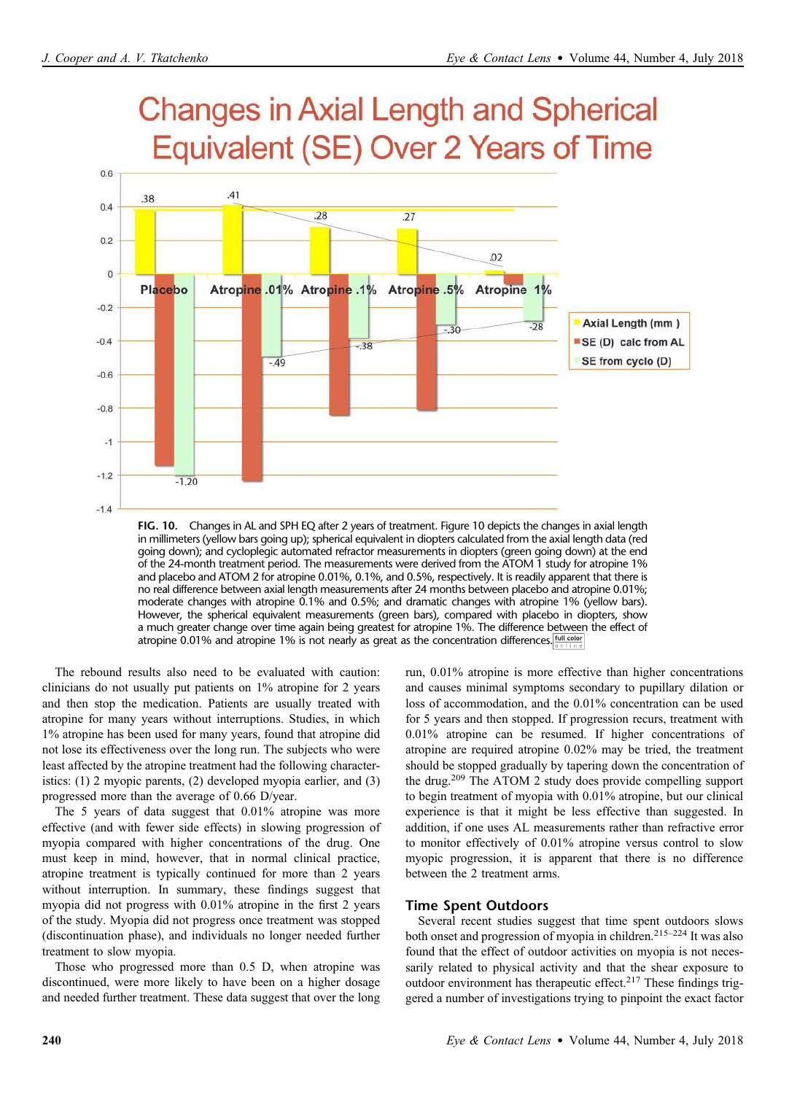

in millimeters (yellow bars going up); spherical equivalent in diopters calculated from the axial length data (red going down); and cycloplegic automated refractor measurements in diopters (green going down) at the end of the 24-month treatment period. The measurements were derived from the ATOM 1 study for atropine 1% and placebo and ATOM 2 for atropine 0.01%, 0.1%, and 0.5%, respectively. It is readily apparent that there is no real difference between axial length measurements after 24 months between placebo and atropine 0.01%; moderate changes with atropine 0.1% and 0.5%; and dramatic changes with atropine 1% (yellow bars). However, the spherical equivalent measurements (green bars), compared with placebo in diopters, show a much greater change over time again being greatest for atropine 1%. The difference between the effect of atropine 0.01% and atropine 1% is not nearly as great as the concentration differences.  $\frac{f_{\text{out}}}{g_{\text{in}} + \ln n}$ 

The rebound results also need to be evaluated with caution: clinicians do not usually put patients on 1% atropine for 2 years and then stop the medication. Patients are usually treated with atropine for many years without interruptions. Studies, in which 1% atropine has been used for many years, found that atropine did not lose its effectiveness over the long run. The subjects who were least affected by the atropine treatment had the following characteristics: (1) 2 myopic parents, (2) developed myopia earlier, and (3) progressed more than the average of 0.66 D/year.

The 5 years of data suggest that 0.01% atropine was more effective (and with fewer side effects) in slowing progression of myopia compared with higher concentrations of the drug. One must keep in mind, however, that in normal clinical practice, atropine treatment is typically continued for more than 2 years without interruption. In summary, these findings suggest that myopia did not progress with 0.01% atropine in the first 2 years of the study. Myopia did not progress once treatment was stopped (discontinuation phase), and individuals no longer needed further treatment to slow myopia.

Those who progressed more than 0.5 D, when atropine was discontinued, were more likely to have been on a higher dosage and needed further treatment. These data suggest that over the long run, 0.01% atropine is more effective than higher concentrations and causes minimal symptoms secondary to pupillary dilation or loss of accommodation, and the 0.01% concentration can be used for 5 years and then stopped. If progression recurs, treatment with 0.01% atropine can be resumed. If higher concentrations of atropine are required atropine 0.02% may be tried, the treatment should be stopped gradually by tapering down the concentration of the drug.<sup>209</sup> The ATOM 2 study does provide compelling support to begin treatment of myopia with 0.01% atropine, but our clinical experience is that it might be less effective than suggested. In addition, if one uses AL measurements rather than refractive error to monitor effectively of 0.01% atropine versus control to slow myopic progression, it is apparent that there is no difference between the 2 treatment arms.

## Time Spent Outdoors

Several recent studies suggest that time spent outdoors slows both onset and progression of myopia in children.215–<sup>224</sup> It was also found that the effect of outdoor activities on myopia is not necessarily related to physical activity and that the shear exposure to outdoor environment has therapeutic effect.<sup>217</sup> These findings triggered a number of investigations trying to pinpoint the exact factor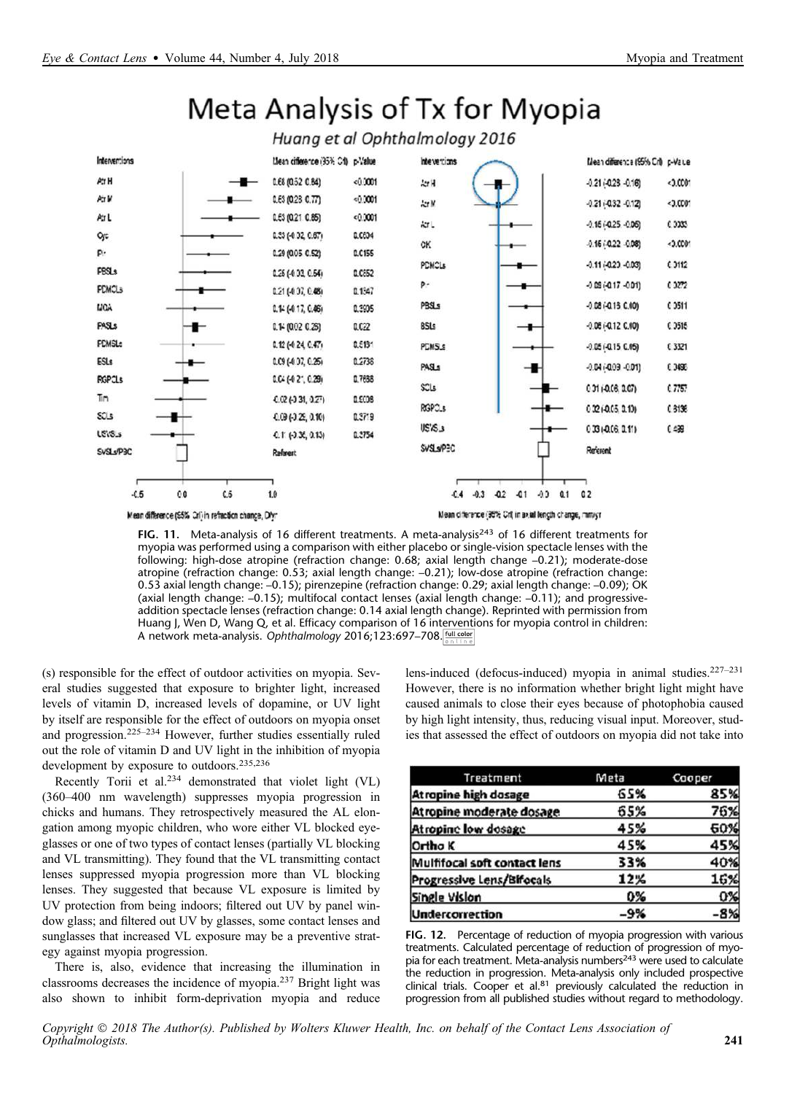

Meta Analysis of Tx for Myopia

FIG. 11. Meta-analysis of 16 different treatments. A meta-analysis<sup>243</sup> of 16 different treatments for myopia was performed using a comparison with either placebo or single-vision spectacle lenses with the following: high-dose atropine (refraction change: 0.68; axial length change –0.21); moderate-dose atropine (refraction change: 0.53; axial length change: –0.21); low-dose atropine (refraction change: 0.53 axial length change: –0.15); pirenzepine (refraction change: 0.29; axial length change: –0.09); OK (axial length change: -0.15); multifocal contact lenses (axial length change: -0.11); and progressiveaddition spectacle lenses (refraction change: 0.14 axial length change). Reprinted with permission from Huang J, Wen D, Wang Q, et al. Efficacy comparison of 16 interventions for myopia control in children: A network meta-analysis. Ophthalmology 2016;123:697-708.

(s) responsible for the effect of outdoor activities on myopia. Several studies suggested that exposure to brighter light, increased levels of vitamin D, increased levels of dopamine, or UV light by itself are responsible for the effect of outdoors on myopia onset and progression.225–<sup>234</sup> However, further studies essentially ruled out the role of vitamin D and UV light in the inhibition of myopia development by exposure to outdoors.<sup>235,236</sup>

Recently Torii et al.<sup>234</sup> demonstrated that violet light (VL) (360–400 nm wavelength) suppresses myopia progression in chicks and humans. They retrospectively measured the AL elongation among myopic children, who wore either VL blocked eyeglasses or one of two types of contact lenses (partially VL blocking and VL transmitting). They found that the VL transmitting contact lenses suppressed myopia progression more than VL blocking lenses. They suggested that because VL exposure is limited by UV protection from being indoors; filtered out UV by panel window glass; and filtered out UV by glasses, some contact lenses and sunglasses that increased VL exposure may be a preventive strategy against myopia progression.

There is, also, evidence that increasing the illumination in classrooms decreases the incidence of myopia.<sup>237</sup> Bright light was also shown to inhibit form-deprivation myopia and reduce lens-induced (defocus-induced) myopia in animal studies.227–<sup>231</sup> However, there is no information whether bright light might have caused animals to close their eyes because of photophobia caused by high light intensity, thus, reducing visual input. Moreover, studies that assessed the effect of outdoors on myopia did not take into

| Treatment                    | Meta  | Cooper |
|------------------------------|-------|--------|
| <b>Atropine high dosage</b>  | 65%   | 85%    |
| Atropine moderate dosage     | 65%   | 76%    |
| <b>Atropine low dosage</b>   | 45%   | 60%    |
| Ortho K                      | 45%   | 45%    |
| Mulfifocal soft contact lens | 33%   | 40%    |
| Progressive Lens/Bifocals    | 12%   | 16%    |
| Single Vision                | 0%    | 0%     |
| <b>Undercorrection</b>       | $-9%$ | $-8%$  |

FIG. 12. Percentage of reduction of myopia progression with various treatments. Calculated percentage of reduction of progression of myopia for each treatment. Meta-analysis numbers<sup>243</sup> were used to calculate the reduction in progression. Meta-analysis only included prospective clinical trials. Cooper et al.<sup>81</sup> previously calculated the reduction in progression from all published studies without regard to methodology.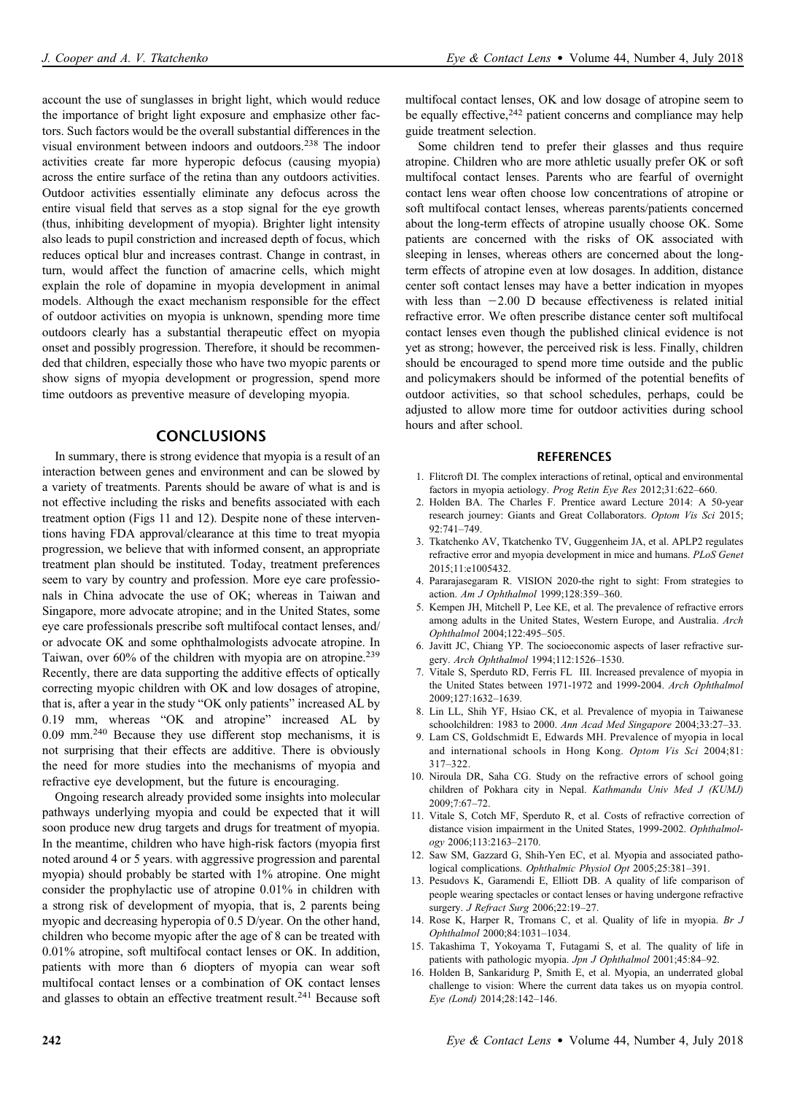account the use of sunglasses in bright light, which would reduce the importance of bright light exposure and emphasize other factors. Such factors would be the overall substantial differences in the visual environment between indoors and outdoors.<sup>238</sup> The indoor activities create far more hyperopic defocus (causing myopia) across the entire surface of the retina than any outdoors activities. Outdoor activities essentially eliminate any defocus across the entire visual field that serves as a stop signal for the eye growth (thus, inhibiting development of myopia). Brighter light intensity also leads to pupil constriction and increased depth of focus, which reduces optical blur and increases contrast. Change in contrast, in turn, would affect the function of amacrine cells, which might explain the role of dopamine in myopia development in animal models. Although the exact mechanism responsible for the effect of outdoor activities on myopia is unknown, spending more time outdoors clearly has a substantial therapeutic effect on myopia onset and possibly progression. Therefore, it should be recommended that children, especially those who have two myopic parents or show signs of myopia development or progression, spend more time outdoors as preventive measure of developing myopia.

## CONCLUSIONS

In summary, there is strong evidence that myopia is a result of an interaction between genes and environment and can be slowed by a variety of treatments. Parents should be aware of what is and is not effective including the risks and benefits associated with each treatment option (Figs 11 and 12). Despite none of these interventions having FDA approval/clearance at this time to treat myopia progression, we believe that with informed consent, an appropriate treatment plan should be instituted. Today, treatment preferences seem to vary by country and profession. More eye care professionals in China advocate the use of OK; whereas in Taiwan and Singapore, more advocate atropine; and in the United States, some eye care professionals prescribe soft multifocal contact lenses, and/ or advocate OK and some ophthalmologists advocate atropine. In Taiwan, over 60% of the children with myopia are on atropine.<sup>239</sup> Recently, there are data supporting the additive effects of optically correcting myopic children with OK and low dosages of atropine, that is, after a year in the study "OK only patients" increased AL by 0.19 mm, whereas "OK and atropine" increased AL by 0.09 mm.<sup>240</sup> Because they use different stop mechanisms, it is not surprising that their effects are additive. There is obviously the need for more studies into the mechanisms of myopia and refractive eye development, but the future is encouraging.

Ongoing research already provided some insights into molecular pathways underlying myopia and could be expected that it will soon produce new drug targets and drugs for treatment of myopia. In the meantime, children who have high-risk factors (myopia first noted around 4 or 5 years. with aggressive progression and parental myopia) should probably be started with 1% atropine. One might consider the prophylactic use of atropine 0.01% in children with a strong risk of development of myopia, that is, 2 parents being myopic and decreasing hyperopia of 0.5 D/year. On the other hand, children who become myopic after the age of 8 can be treated with 0.01% atropine, soft multifocal contact lenses or OK. In addition, patients with more than 6 diopters of myopia can wear soft multifocal contact lenses or a combination of OK contact lenses and glasses to obtain an effective treatment result.<sup>241</sup> Because soft multifocal contact lenses, OK and low dosage of atropine seem to be equally effective,<sup>242</sup> patient concerns and compliance may help guide treatment selection.

Some children tend to prefer their glasses and thus require atropine. Children who are more athletic usually prefer OK or soft multifocal contact lenses. Parents who are fearful of overnight contact lens wear often choose low concentrations of atropine or soft multifocal contact lenses, whereas parents/patients concerned about the long-term effects of atropine usually choose OK. Some patients are concerned with the risks of OK associated with sleeping in lenses, whereas others are concerned about the longterm effects of atropine even at low dosages. In addition, distance center soft contact lenses may have a better indication in myopes with less than  $-2.00$  D because effectiveness is related initial refractive error. We often prescribe distance center soft multifocal contact lenses even though the published clinical evidence is not yet as strong; however, the perceived risk is less. Finally, children should be encouraged to spend more time outside and the public and policymakers should be informed of the potential benefits of outdoor activities, so that school schedules, perhaps, could be adjusted to allow more time for outdoor activities during school hours and after school.

## **REFERENCES**

- 1. Flitcroft DI. The complex interactions of retinal, optical and environmental factors in myopia aetiology. Prog Retin Eye Res 2012;31:622–660.
- 2. Holden BA. The Charles F. Prentice award Lecture 2014: A 50-year research journey: Giants and Great Collaborators. Optom Vis Sci 2015; 92:741–749.
- 3. Tkatchenko AV, Tkatchenko TV, Guggenheim JA, et al. APLP2 regulates refractive error and myopia development in mice and humans. PLoS Genet 2015;11:e1005432.
- 4. Pararajasegaram R. VISION 2020-the right to sight: From strategies to action. Am J Ophthalmol 1999;128:359–360.
- 5. Kempen JH, Mitchell P, Lee KE, et al. The prevalence of refractive errors among adults in the United States, Western Europe, and Australia. Arch Ophthalmol 2004;122:495–505.
- 6. Javitt JC, Chiang YP. The socioeconomic aspects of laser refractive surgery. Arch Ophthalmol 1994;112:1526–1530.
- 7. Vitale S, Sperduto RD, Ferris FL III. Increased prevalence of myopia in the United States between 1971-1972 and 1999-2004. Arch Ophthalmol 2009;127:1632–1639.
- 8. Lin LL, Shih YF, Hsiao CK, et al. Prevalence of myopia in Taiwanese schoolchildren: 1983 to 2000. Ann Acad Med Singapore 2004;33:27-33.
- 9. Lam CS, Goldschmidt E, Edwards MH. Prevalence of myopia in local and international schools in Hong Kong. Optom Vis Sci 2004;81: 317–322.
- 10. Niroula DR, Saha CG. Study on the refractive errors of school going children of Pokhara city in Nepal. Kathmandu Univ Med J (KUMJ) 2009;7:67–72.
- 11. Vitale S, Cotch MF, Sperduto R, et al. Costs of refractive correction of distance vision impairment in the United States, 1999-2002. Ophthalmology 2006;113:2163–2170.
- 12. Saw SM, Gazzard G, Shih-Yen EC, et al. Myopia and associated pathological complications. Ophthalmic Physiol Opt 2005;25:381–391.
- 13. Pesudovs K, Garamendi E, Elliott DB. A quality of life comparison of people wearing spectacles or contact lenses or having undergone refractive surgery. J Refract Surg 2006;22:19–27.
- 14. Rose K, Harper R, Tromans C, et al. Quality of life in myopia. Br J Ophthalmol 2000;84:1031–1034.
- 15. Takashima T, Yokoyama T, Futagami S, et al. The quality of life in patients with pathologic myopia. Jpn J Ophthalmol 2001;45:84–92.
- 16. Holden B, Sankaridurg P, Smith E, et al. Myopia, an underrated global challenge to vision: Where the current data takes us on myopia control. Eye (Lond) 2014;28:142–146.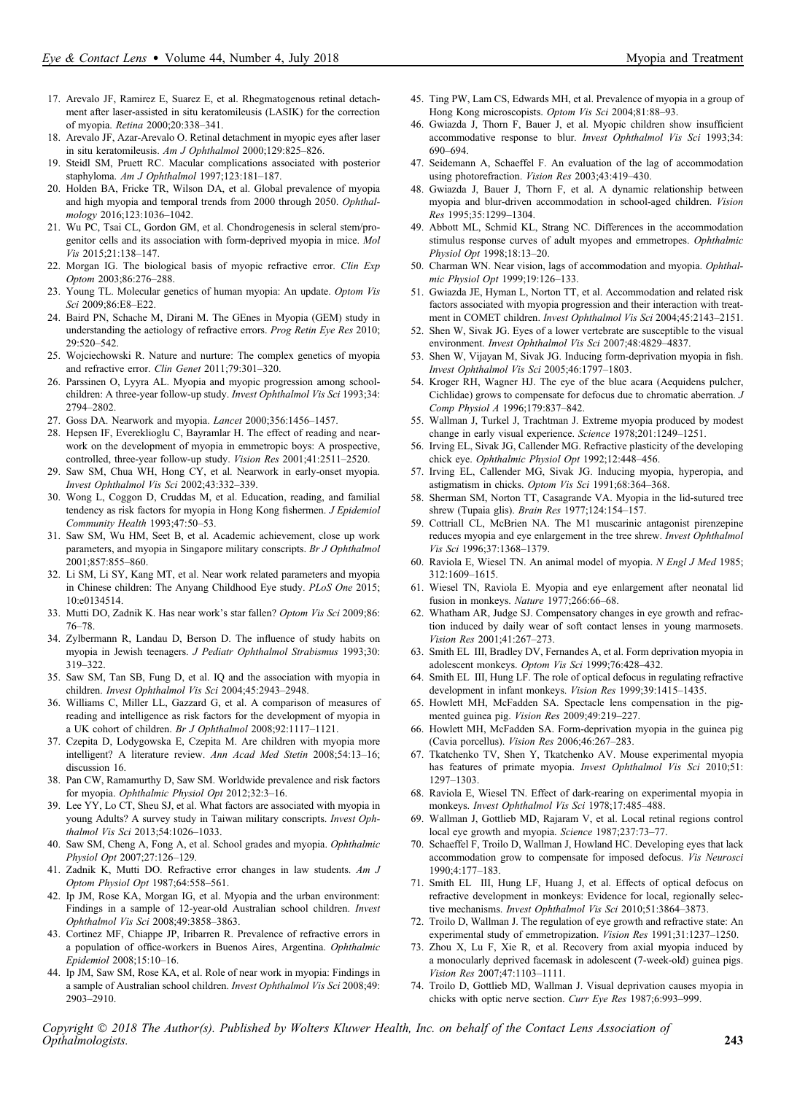- 17. Arevalo JF, Ramirez E, Suarez E, et al. Rhegmatogenous retinal detachment after laser-assisted in situ keratomileusis (LASIK) for the correction of myopia. Retina 2000;20:338–341.
- 18. Arevalo JF, Azar-Arevalo O. Retinal detachment in myopic eyes after laser in situ keratomileusis. Am J Ophthalmol 2000;129:825–826.
- 19. Steidl SM, Pruett RC. Macular complications associated with posterior staphyloma. Am J Ophthalmol 1997;123:181–187.
- 20. Holden BA, Fricke TR, Wilson DA, et al. Global prevalence of myopia and high myopia and temporal trends from 2000 through 2050. Ophthalmology 2016;123:1036–1042.
- 21. Wu PC, Tsai CL, Gordon GM, et al. Chondrogenesis in scleral stem/progenitor cells and its association with form-deprived myopia in mice. Mol Vis 2015;21:138–147.
- 22. Morgan IG. The biological basis of myopic refractive error. Clin Exp Optom 2003;86:276–288.
- 23. Young TL. Molecular genetics of human myopia: An update. Optom Vis Sci 2009;86:E8–E22.
- 24. Baird PN, Schache M, Dirani M. The GEnes in Myopia (GEM) study in understanding the aetiology of refractive errors. Prog Retin Eye Res 2010; 29:520–542.
- 25. Wojciechowski R. Nature and nurture: The complex genetics of myopia and refractive error. Clin Genet 2011;79:301–320.
- 26. Parssinen O, Lyyra AL. Myopia and myopic progression among schoolchildren: A three-year follow-up study. Invest Ophthalmol Vis Sci 1993;34: 2794–2802.
- 27. Goss DA. Nearwork and myopia. Lancet 2000;356:1456–1457.
- 28. Hepsen IF, Evereklioglu C, Bayramlar H. The effect of reading and nearwork on the development of myopia in emmetropic boys: A prospective, controlled, three-year follow-up study. Vision Res 2001;41:2511–2520.
- 29. Saw SM, Chua WH, Hong CY, et al. Nearwork in early-onset myopia. Invest Ophthalmol Vis Sci 2002;43:332–339.
- 30. Wong L, Coggon D, Cruddas M, et al. Education, reading, and familial tendency as risk factors for myopia in Hong Kong fishermen. J Epidemiol Community Health 1993;47:50–53.
- 31. Saw SM, Wu HM, Seet B, et al. Academic achievement, close up work parameters, and myopia in Singapore military conscripts. Br J Ophthalmol 2001;857:855–860.
- 32. Li SM, Li SY, Kang MT, et al. Near work related parameters and myopia in Chinese children: The Anyang Childhood Eye study. PLoS One 2015; 10:e0134514.
- 33. Mutti DO, Zadnik K. Has near work's star fallen? Optom Vis Sci 2009;86: 76–78.
- 34. Zylbermann R, Landau D, Berson D. The influence of study habits on myopia in Jewish teenagers. J Pediatr Ophthalmol Strabismus 1993;30: 319–322.
- 35. Saw SM, Tan SB, Fung D, et al. IQ and the association with myopia in children. Invest Ophthalmol Vis Sci 2004;45:2943–2948.
- 36. Williams C, Miller LL, Gazzard G, et al. A comparison of measures of reading and intelligence as risk factors for the development of myopia in a UK cohort of children. Br J Ophthalmol 2008;92:1117–1121.
- 37. Czepita D, Lodygowska E, Czepita M. Are children with myopia more intelligent? A literature review. Ann Acad Med Stetin 2008;54:13–16; discussion 16.
- 38. Pan CW, Ramamurthy D, Saw SM. Worldwide prevalence and risk factors for myopia. Ophthalmic Physiol Opt 2012;32:3–16.
- 39. Lee YY, Lo CT, Sheu SJ, et al. What factors are associated with myopia in young Adults? A survey study in Taiwan military conscripts. Invest Ophthalmol Vis Sci 2013;54:1026–1033.
- 40. Saw SM, Cheng A, Fong A, et al. School grades and myopia. Ophthalmic Physiol Opt 2007;27:126–129.
- 41. Zadnik K, Mutti DO. Refractive error changes in law students. Am J Optom Physiol Opt 1987;64:558–561.
- 42. Ip JM, Rose KA, Morgan IG, et al. Myopia and the urban environment: Findings in a sample of 12-year-old Australian school children. Invest Ophthalmol Vis Sci 2008;49:3858–3863.
- 43. Cortinez MF, Chiappe JP, Iribarren R. Prevalence of refractive errors in a population of office-workers in Buenos Aires, Argentina. Ophthalmic Epidemiol 2008;15:10–16.
- 44. Ip JM, Saw SM, Rose KA, et al. Role of near work in myopia: Findings in a sample of Australian school children. Invest Ophthalmol Vis Sci 2008;49: 2903–2910.
- 45. Ting PW, Lam CS, Edwards MH, et al. Prevalence of myopia in a group of Hong Kong microscopists. Optom Vis Sci 2004;81:88–93.
- 46. Gwiazda J, Thorn F, Bauer J, et al. Myopic children show insufficient accommodative response to blur. Invest Ophthalmol Vis Sci 1993;34: 690–694.
- 47. Seidemann A, Schaeffel F. An evaluation of the lag of accommodation using photorefraction. Vision Res 2003;43:419–430.
- 48. Gwiazda J, Bauer J, Thorn F, et al. A dynamic relationship between myopia and blur-driven accommodation in school-aged children. Vision Res 1995;35:1299–1304.
- 49. Abbott ML, Schmid KL, Strang NC. Differences in the accommodation stimulus response curves of adult myopes and emmetropes. Ophthalmic Physiol Opt 1998;18:13–20.
- 50. Charman WN. Near vision, lags of accommodation and myopia. Ophthalmic Physiol Opt 1999;19:126–133.
- 51. Gwiazda JE, Hyman L, Norton TT, et al. Accommodation and related risk factors associated with myopia progression and their interaction with treatment in COMET children. Invest Ophthalmol Vis Sci 2004;45:2143–2151.
- 52. Shen W, Sivak JG. Eyes of a lower vertebrate are susceptible to the visual environment. Invest Ophthalmol Vis Sci 2007;48:4829–4837.
- 53. Shen W, Vijayan M, Sivak JG. Inducing form-deprivation myopia in fish. Invest Ophthalmol Vis Sci 2005;46:1797–1803.
- 54. Kroger RH, Wagner HJ. The eye of the blue acara (Aequidens pulcher, Cichlidae) grows to compensate for defocus due to chromatic aberration. J Comp Physiol A 1996;179:837–842.
- 55. Wallman J, Turkel J, Trachtman J. Extreme myopia produced by modest change in early visual experience. Science 1978;201:1249–1251.
- 56. Irving EL, Sivak JG, Callender MG. Refractive plasticity of the developing chick eye. Ophthalmic Physiol Opt 1992;12:448–456.
- 57. Irving EL, Callender MG, Sivak JG. Inducing myopia, hyperopia, and astigmatism in chicks. Optom Vis Sci 1991;68:364–368.
- 58. Sherman SM, Norton TT, Casagrande VA. Myopia in the lid-sutured tree shrew (Tupaia glis). Brain Res 1977;124:154–157.
- 59. Cottriall CL, McBrien NA. The M1 muscarinic antagonist pirenzepine reduces myopia and eye enlargement in the tree shrew. Invest Ophthalmol Vis Sci 1996;37:1368–1379.
- 60. Raviola E, Wiesel TN. An animal model of myopia. N Engl J Med 1985; 312:1609–1615.
- 61. Wiesel TN, Raviola E. Myopia and eye enlargement after neonatal lid fusion in monkeys. Nature 1977;266:66–68.
- 62. Whatham AR, Judge SJ. Compensatory changes in eye growth and refraction induced by daily wear of soft contact lenses in young marmosets. Vision Res 2001;41:267–273.
- 63. Smith EL III, Bradley DV, Fernandes A, et al. Form deprivation myopia in adolescent monkeys. Optom Vis Sci 1999;76:428–432.
- 64. Smith EL III, Hung LF. The role of optical defocus in regulating refractive development in infant monkeys. Vision Res 1999;39:1415–1435.
- 65. Howlett MH, McFadden SA. Spectacle lens compensation in the pigmented guinea pig. Vision Res 2009;49:219–227.
- 66. Howlett MH, McFadden SA. Form-deprivation myopia in the guinea pig (Cavia porcellus). Vision Res 2006;46:267–283.
- 67. Tkatchenko TV, Shen Y, Tkatchenko AV. Mouse experimental myopia has features of primate myopia. Invest Ophthalmol Vis Sci 2010;51: 1297–1303.
- 68. Raviola E, Wiesel TN. Effect of dark-rearing on experimental myopia in monkeys. Invest Ophthalmol Vis Sci 1978;17:485–488.
- 69. Wallman J, Gottlieb MD, Rajaram V, et al. Local retinal regions control local eye growth and myopia. Science 1987;237:73–77.
- 70. Schaeffel F, Troilo D, Wallman J, Howland HC. Developing eyes that lack accommodation grow to compensate for imposed defocus. Vis Neurosci 1990;4:177–183.
- 71. Smith EL III, Hung LF, Huang J, et al. Effects of optical defocus on refractive development in monkeys: Evidence for local, regionally selective mechanisms. Invest Ophthalmol Vis Sci 2010;51:3864–3873.
- 72. Troilo D, Wallman J. The regulation of eye growth and refractive state: An experimental study of emmetropization. Vision Res 1991;31:1237–1250.
- 73. Zhou X, Lu F, Xie R, et al. Recovery from axial myopia induced by a monocularly deprived facemask in adolescent (7-week-old) guinea pigs. Vision Res 2007;47:1103–1111.
- 74. Troilo D, Gottlieb MD, Wallman J. Visual deprivation causes myopia in chicks with optic nerve section. Curr Eye Res 1987;6:993–999.

Copyright  $\odot$  2018 The Author(s). Published by Wolters Kluwer Health, Inc. on behalf of the Contact Lens Association of Opthalmologists. 243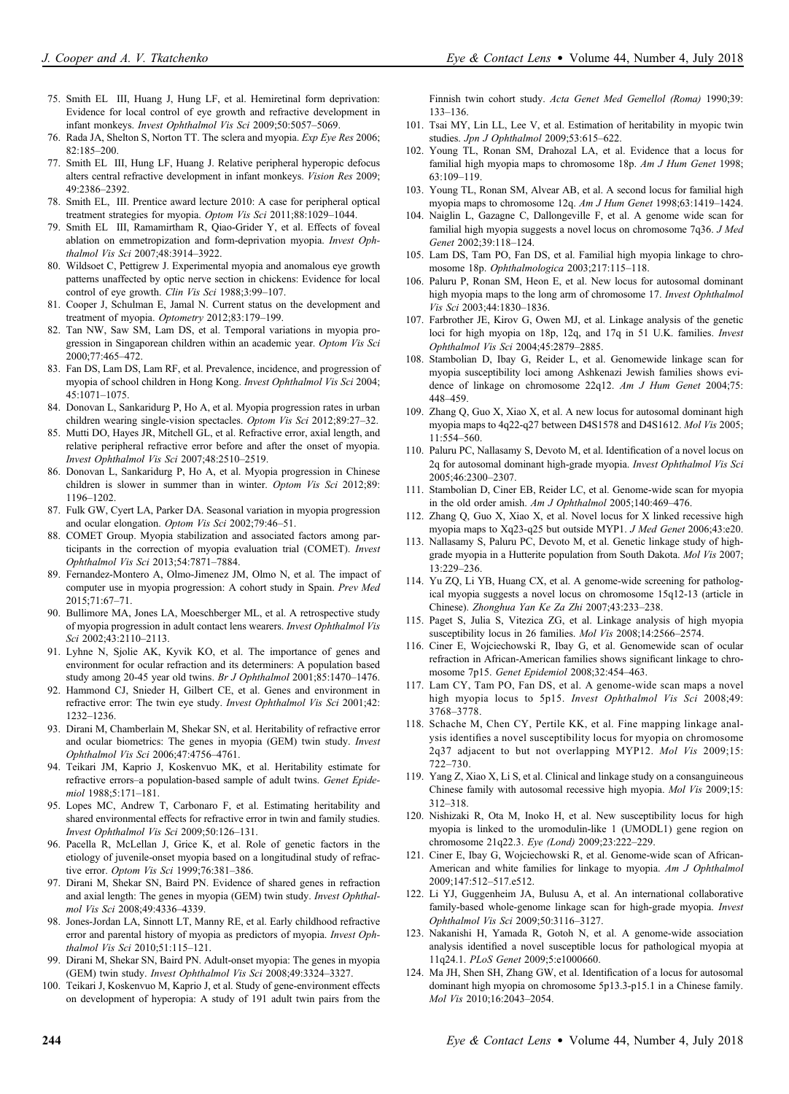- 75. Smith EL III, Huang J, Hung LF, et al. Hemiretinal form deprivation: Evidence for local control of eye growth and refractive development in infant monkeys. Invest Ophthalmol Vis Sci 2009;50:5057–5069.
- 76. Rada JA, Shelton S, Norton TT. The sclera and myopia. Exp Eye Res 2006; 82:185–200.
- 77. Smith EL III, Hung LF, Huang J. Relative peripheral hyperopic defocus alters central refractive development in infant monkeys. Vision Res 2009; 49:2386–2392.
- 78. Smith EL, III. Prentice award lecture 2010: A case for peripheral optical treatment strategies for myopia. Optom Vis Sci 2011;88:1029–1044.
- 79. Smith EL III, Ramamirtham R, Qiao-Grider Y, et al. Effects of foveal ablation on emmetropization and form-deprivation myopia. Invest Ophthalmol Vis Sci 2007;48:3914–3922.
- 80. Wildsoet C, Pettigrew J. Experimental myopia and anomalous eye growth patterns unaffected by optic nerve section in chickens: Evidence for local control of eye growth. Clin Vis Sci 1988;3:99-107.
- 81. Cooper J, Schulman E, Jamal N. Current status on the development and treatment of myopia. Optometry 2012;83:179–199.
- 82. Tan NW, Saw SM, Lam DS, et al. Temporal variations in myopia progression in Singaporean children within an academic year. Optom Vis Sci 2000;77:465–472.
- 83. Fan DS, Lam DS, Lam RF, et al. Prevalence, incidence, and progression of myopia of school children in Hong Kong. Invest Ophthalmol Vis Sci 2004; 45:1071–1075.
- 84. Donovan L, Sankaridurg P, Ho A, et al. Myopia progression rates in urban children wearing single-vision spectacles. Optom Vis Sci 2012;89:27–32.
- 85. Mutti DO, Hayes JR, Mitchell GL, et al. Refractive error, axial length, and relative peripheral refractive error before and after the onset of myopia. Invest Ophthalmol Vis Sci 2007;48:2510–2519.
- 86. Donovan L, Sankaridurg P, Ho A, et al. Myopia progression in Chinese children is slower in summer than in winter. Optom Vis Sci 2012;89: 1196–1202.
- 87. Fulk GW, Cyert LA, Parker DA. Seasonal variation in myopia progression and ocular elongation. Optom Vis Sci 2002;79:46–51.
- 88. COMET Group. Myopia stabilization and associated factors among participants in the correction of myopia evaluation trial (COMET). Invest Ophthalmol Vis Sci 2013;54:7871–7884.
- 89. Fernandez-Montero A, Olmo-Jimenez JM, Olmo N, et al. The impact of computer use in myopia progression: A cohort study in Spain. Prev Med 2015;71:67–71.
- 90. Bullimore MA, Jones LA, Moeschberger ML, et al. A retrospective study of myopia progression in adult contact lens wearers. Invest Ophthalmol Vis Sci 2002;43:2110–2113.
- 91. Lyhne N, Sjolie AK, Kyvik KO, et al. The importance of genes and environment for ocular refraction and its determiners: A population based study among 20-45 year old twins. Br J Ophthalmol 2001;85:1470-1476.
- 92. Hammond CJ, Snieder H, Gilbert CE, et al. Genes and environment in refractive error: The twin eye study. Invest Ophthalmol Vis Sci 2001;42: 1232–1236.
- 93. Dirani M, Chamberlain M, Shekar SN, et al. Heritability of refractive error and ocular biometrics: The genes in myopia (GEM) twin study. Invest Ophthalmol Vis Sci 2006;47:4756–4761.
- 94. Teikari JM, Kaprio J, Koskenvuo MK, et al. Heritability estimate for refractive errors–a population-based sample of adult twins. Genet Epidemiol 1988;5:171–181.
- 95. Lopes MC, Andrew T, Carbonaro F, et al. Estimating heritability and shared environmental effects for refractive error in twin and family studies. Invest Ophthalmol Vis Sci 2009;50:126–131.
- 96. Pacella R, McLellan J, Grice K, et al. Role of genetic factors in the etiology of juvenile-onset myopia based on a longitudinal study of refractive error. Optom Vis Sci 1999;76:381-386.
- 97. Dirani M, Shekar SN, Baird PN. Evidence of shared genes in refraction and axial length: The genes in myopia (GEM) twin study. Invest Ophthalmol Vis Sci 2008;49:4336–4339.
- 98. Jones-Jordan LA, Sinnott LT, Manny RE, et al. Early childhood refractive error and parental history of myopia as predictors of myopia. Invest Ophthalmol Vis Sci 2010;51:115–121.
- 99. Dirani M, Shekar SN, Baird PN. Adult-onset myopia: The genes in myopia (GEM) twin study. Invest Ophthalmol Vis Sci 2008;49:3324–3327.
- 100. Teikari J, Koskenvuo M, Kaprio J, et al. Study of gene-environment effects on development of hyperopia: A study of 191 adult twin pairs from the

Finnish twin cohort study. Acta Genet Med Gemellol (Roma) 1990;39: 133–136.

- 101. Tsai MY, Lin LL, Lee V, et al. Estimation of heritability in myopic twin studies. Jpn J Ophthalmol 2009;53:615–622.
- 102. Young TL, Ronan SM, Drahozal LA, et al. Evidence that a locus for familial high myopia maps to chromosome 18p. Am J Hum Genet 1998; 63:109–119.
- 103. Young TL, Ronan SM, Alvear AB, et al. A second locus for familial high myopia maps to chromosome 12q. Am J Hum Genet 1998;63:1419–1424.
- 104. Naiglin L, Gazagne C, Dallongeville F, et al. A genome wide scan for familial high myopia suggests a novel locus on chromosome 7q36. J Med Genet 2002;39:118–124.
- 105. Lam DS, Tam PO, Fan DS, et al. Familial high myopia linkage to chromosome 18p. Ophthalmologica 2003;217:115–118.
- 106. Paluru P, Ronan SM, Heon E, et al. New locus for autosomal dominant high myopia maps to the long arm of chromosome 17. Invest Ophthalmol Vis Sci 2003;44:1830–1836.
- 107. Farbrother JE, Kirov G, Owen MJ, et al. Linkage analysis of the genetic loci for high myopia on 18p, 12q, and 17q in 51 U.K. families. Invest Ophthalmol Vis Sci 2004;45:2879–2885.
- 108. Stambolian D, Ibay G, Reider L, et al. Genomewide linkage scan for myopia susceptibility loci among Ashkenazi Jewish families shows evidence of linkage on chromosome 22q12. Am J Hum Genet 2004;75: 448–459.
- 109. Zhang Q, Guo X, Xiao X, et al. A new locus for autosomal dominant high myopia maps to 4q22-q27 between D4S1578 and D4S1612. Mol Vis 2005; 11:554–560.
- 110. Paluru PC, Nallasamy S, Devoto M, et al. Identification of a novel locus on 2q for autosomal dominant high-grade myopia. Invest Ophthalmol Vis Sci 2005;46:2300–2307.
- 111. Stambolian D, Ciner EB, Reider LC, et al. Genome-wide scan for myopia in the old order amish. Am J Ophthalmol 2005;140:469–476.
- 112. Zhang Q, Guo X, Xiao X, et al. Novel locus for X linked recessive high myopia maps to Xq23-q25 but outside MYP1. J Med Genet 2006;43:e20.
- 113. Nallasamy S, Paluru PC, Devoto M, et al. Genetic linkage study of highgrade myopia in a Hutterite population from South Dakota. Mol Vis 2007; 13:229–236.
- 114. Yu ZQ, Li YB, Huang CX, et al. A genome-wide screening for pathological myopia suggests a novel locus on chromosome 15q12-13 (article in Chinese). Zhonghua Yan Ke Za Zhi 2007;43:233–238.
- 115. Paget S, Julia S, Vitezica ZG, et al. Linkage analysis of high myopia susceptibility locus in 26 families. Mol Vis 2008;14:2566-2574.
- 116. Ciner E, Wojciechowski R, Ibay G, et al. Genomewide scan of ocular refraction in African-American families shows significant linkage to chromosome 7p15. Genet Epidemiol 2008;32:454–463.
- 117. Lam CY, Tam PO, Fan DS, et al. A genome-wide scan maps a novel high myopia locus to 5p15. Invest Ophthalmol Vis Sci 2008;49: 3768–3778.
- 118. Schache M, Chen CY, Pertile KK, et al. Fine mapping linkage analysis identifies a novel susceptibility locus for myopia on chromosome 2q37 adjacent to but not overlapping MYP12. Mol Vis 2009;15: 722–730.
- 119. Yang Z, Xiao X, Li S, et al. Clinical and linkage study on a consanguineous Chinese family with autosomal recessive high myopia. Mol Vis 2009;15: 312–318.
- 120. Nishizaki R, Ota M, Inoko H, et al. New susceptibility locus for high myopia is linked to the uromodulin-like 1 (UMODL1) gene region on chromosome 21q22.3. Eye (Lond) 2009;23:222–229.
- 121. Ciner E, Ibay G, Wojciechowski R, et al. Genome-wide scan of African-American and white families for linkage to myopia. Am J Ophthalmol 2009;147:512–517.e512.
- 122. Li YJ, Guggenheim JA, Bulusu A, et al. An international collaborative family-based whole-genome linkage scan for high-grade myopia. Invest Ophthalmol Vis Sci 2009;50:3116–3127.
- 123. Nakanishi H, Yamada R, Gotoh N, et al. A genome-wide association analysis identified a novel susceptible locus for pathological myopia at 11q24.1. PLoS Genet 2009;5:e1000660.
- 124. Ma JH, Shen SH, Zhang GW, et al. Identification of a locus for autosomal dominant high myopia on chromosome 5p13.3-p15.1 in a Chinese family. Mol Vis 2010;16:2043–2054.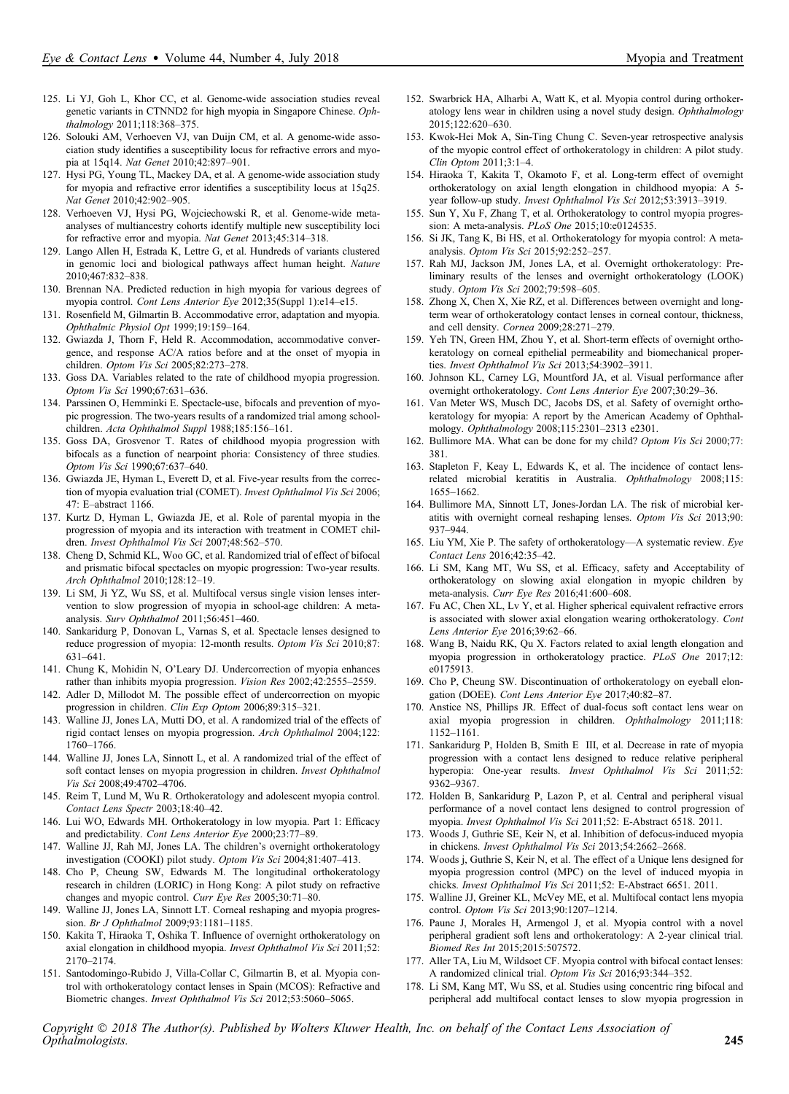- 125. Li YJ, Goh L, Khor CC, et al. Genome-wide association studies reveal genetic variants in CTNND2 for high myopia in Singapore Chinese. Ophthalmology 2011;118:368–375.
- 126. Solouki AM, Verhoeven VJ, van Duijn CM, et al. A genome-wide association study identifies a susceptibility locus for refractive errors and myopia at 15q14. Nat Genet 2010;42:897–901.
- 127. Hysi PG, Young TL, Mackey DA, et al. A genome-wide association study for myopia and refractive error identifies a susceptibility locus at 15q25. Nat Genet 2010;42:902–905.
- 128. Verhoeven VJ, Hysi PG, Wojciechowski R, et al. Genome-wide metaanalyses of multiancestry cohorts identify multiple new susceptibility loci for refractive error and myopia. Nat Genet 2013;45:314–318.
- 129. Lango Allen H, Estrada K, Lettre G, et al. Hundreds of variants clustered in genomic loci and biological pathways affect human height. Nature 2010;467:832–838.
- 130. Brennan NA. Predicted reduction in high myopia for various degrees of myopia control. Cont Lens Anterior Eye 2012;35(Suppl 1):e14–e15.
- 131. Rosenfield M, Gilmartin B. Accommodative error, adaptation and myopia. Ophthalmic Physiol Opt 1999;19:159–164.
- 132. Gwiazda J, Thorn F, Held R. Accommodation, accommodative convergence, and response AC/A ratios before and at the onset of myopia in children. Optom Vis Sci 2005;82:273–278.
- 133. Goss DA. Variables related to the rate of childhood myopia progression. Optom Vis Sci 1990;67:631–636.
- 134. Parssinen O, Hemminki E. Spectacle-use, bifocals and prevention of myopic progression. The two-years results of a randomized trial among schoolchildren. Acta Ophthalmol Suppl 1988;185:156–161.
- 135. Goss DA, Grosvenor T. Rates of childhood myopia progression with bifocals as a function of nearpoint phoria: Consistency of three studies. Optom Vis Sci 1990;67:637–640.
- 136. Gwiazda JE, Hyman L, Everett D, et al. Five-year results from the correction of myopia evaluation trial (COMET). Invest Ophthalmol Vis Sci 2006; 47: E–abstract 1166.
- 137. Kurtz D, Hyman L, Gwiazda JE, et al. Role of parental myopia in the progression of myopia and its interaction with treatment in COMET children. Invest Ophthalmol Vis Sci 2007;48:562–570.
- 138. Cheng D, Schmid KL, Woo GC, et al. Randomized trial of effect of bifocal and prismatic bifocal spectacles on myopic progression: Two-year results. Arch Ophthalmol 2010;128:12–19.
- 139. Li SM, Ji YZ, Wu SS, et al. Multifocal versus single vision lenses intervention to slow progression of myopia in school-age children: A metaanalysis. Surv Ophthalmol 2011;56:451–460.
- 140. Sankaridurg P, Donovan L, Varnas S, et al. Spectacle lenses designed to reduce progression of myopia: 12-month results. Optom Vis Sci 2010;87: 631–641.
- 141. Chung K, Mohidin N, O'Leary DJ. Undercorrection of myopia enhances rather than inhibits myopia progression. Vision Res 2002;42:2555–2559.
- 142. Adler D, Millodot M. The possible effect of undercorrection on myopic progression in children. Clin Exp Optom 2006;89:315–321.
- 143. Walline JJ, Jones LA, Mutti DO, et al. A randomized trial of the effects of rigid contact lenses on myopia progression. Arch Ophthalmol 2004;122: 1760–1766.
- 144. Walline JJ, Jones LA, Sinnott L, et al. A randomized trial of the effect of soft contact lenses on myopia progression in children. Invest Ophthalmol Vis Sci 2008;49:4702–4706.
- 145. Reim T, Lund M, Wu R. Orthokeratology and adolescent myopia control. Contact Lens Spectr 2003;18:40–42.
- 146. Lui WO, Edwards MH. Orthokeratology in low myopia. Part 1: Efficacy and predictability. Cont Lens Anterior Eye 2000;23:77–89.
- 147. Walline JJ, Rah MJ, Jones LA. The children's overnight orthokeratology investigation (COOKI) pilot study. Optom Vis Sci 2004;81:407–413.
- 148. Cho P, Cheung SW, Edwards M. The longitudinal orthokeratology research in children (LORIC) in Hong Kong: A pilot study on refractive changes and myopic control. Curr Eye Res 2005;30:71–80.
- 149. Walline JJ, Jones LA, Sinnott LT. Corneal reshaping and myopia progression. Br J Ophthalmol 2009;93:1181–1185.
- 150. Kakita T, Hiraoka T, Oshika T. Influence of overnight orthokeratology on axial elongation in childhood myopia. Invest Ophthalmol Vis Sci 2011;52: 2170–2174.
- 151. Santodomingo-Rubido J, Villa-Collar C, Gilmartin B, et al. Myopia control with orthokeratology contact lenses in Spain (MCOS): Refractive and Biometric changes. Invest Ophthalmol Vis Sci 2012;53:5060–5065.
- 152. Swarbrick HA, Alharbi A, Watt K, et al. Myopia control during orthokeratology lens wear in children using a novel study design. Ophthalmology 2015;122:620–630.
- 153. Kwok-Hei Mok A, Sin-Ting Chung C. Seven-year retrospective analysis of the myopic control effect of orthokeratology in children: A pilot study. Clin Optom 2011;3:1–4.
- 154. Hiraoka T, Kakita T, Okamoto F, et al. Long-term effect of overnight orthokeratology on axial length elongation in childhood myopia: A 5 year follow-up study. Invest Ophthalmol Vis Sci 2012;53:3913–3919.
- 155. Sun Y, Xu F, Zhang T, et al. Orthokeratology to control myopia progression: A meta-analysis. PLoS One 2015;10:e0124535.
- 156. Si JK, Tang K, Bi HS, et al. Orthokeratology for myopia control: A metaanalysis. Optom Vis Sci 2015;92:252–257.
- 157. Rah MJ, Jackson JM, Jones LA, et al. Overnight orthokeratology: Preliminary results of the lenses and overnight orthokeratology (LOOK) study. Optom Vis Sci 2002;79:598–605.
- 158. Zhong X, Chen X, Xie RZ, et al. Differences between overnight and longterm wear of orthokeratology contact lenses in corneal contour, thickness, and cell density. Cornea 2009;28:271–279.
- 159. Yeh TN, Green HM, Zhou Y, et al. Short-term effects of overnight orthokeratology on corneal epithelial permeability and biomechanical properties. Invest Ophthalmol Vis Sci 2013;54:3902-3911.
- 160. Johnson KL, Carney LG, Mountford JA, et al. Visual performance after overnight orthokeratology. Cont Lens Anterior Eye 2007;30:29–36.
- 161. Van Meter WS, Musch DC, Jacobs DS, et al. Safety of overnight orthokeratology for myopia: A report by the American Academy of Ophthalmology. Ophthalmology 2008;115:2301–2313 e2301.
- 162. Bullimore MA. What can be done for my child? Optom Vis Sci 2000;77: 381.
- 163. Stapleton F, Keay L, Edwards K, et al. The incidence of contact lensrelated microbial keratitis in Australia. Ophthalmology 2008;115: 1655–1662.
- 164. Bullimore MA, Sinnott LT, Jones-Jordan LA. The risk of microbial keratitis with overnight corneal reshaping lenses. Optom Vis Sci 2013;90: 937–944.
- 165. Liu YM, Xie P. The safety of orthokeratology—A systematic review. Eye Contact Lens 2016;42:35–42.
- 166. Li SM, Kang MT, Wu SS, et al. Efficacy, safety and Acceptability of orthokeratology on slowing axial elongation in myopic children by meta-analysis. Curr Eye Res 2016;41:600–608.
- 167. Fu AC, Chen XL, Lv Y, et al. Higher spherical equivalent refractive errors is associated with slower axial elongation wearing orthokeratology. Cont Lens Anterior Eye 2016;39:62–66.
- 168. Wang B, Naidu RK, Qu X. Factors related to axial length elongation and myopia progression in orthokeratology practice. PLoS One 2017;12: e0175913.
- 169. Cho P, Cheung SW. Discontinuation of orthokeratology on eyeball elongation (DOEE). Cont Lens Anterior Eye 2017;40:82–87.
- 170. Anstice NS, Phillips JR. Effect of dual-focus soft contact lens wear on axial myopia progression in children. Ophthalmology 2011;118: 1152–1161.
- 171. Sankaridurg P, Holden B, Smith E III, et al. Decrease in rate of myopia progression with a contact lens designed to reduce relative peripheral hyperopia: One-year results. *Invest Ophthalmol Vis Sci* 2011;52: 9362–9367.
- 172. Holden B, Sankaridurg P, Lazon P, et al. Central and peripheral visual performance of a novel contact lens designed to control progression of myopia. Invest Ophthalmol Vis Sci 2011;52: E-Abstract 6518. 2011.
- 173. Woods J, Guthrie SE, Keir N, et al. Inhibition of defocus-induced myopia in chickens. Invest Ophthalmol Vis Sci 2013;54:2662–2668.
- 174. Woods j, Guthrie S, Keir N, et al. The effect of a Unique lens designed for myopia progression control (MPC) on the level of induced myopia in chicks. Invest Ophthalmol Vis Sci 2011;52: E-Abstract 6651. 2011.
- 175. Walline JJ, Greiner KL, McVey ME, et al. Multifocal contact lens myopia control. Optom Vis Sci 2013;90:1207-1214.
- 176. Paune J, Morales H, Armengol J, et al. Myopia control with a novel peripheral gradient soft lens and orthokeratology: A 2-year clinical trial. Biomed Res Int 2015;2015:507572.
- 177. Aller TA, Liu M, Wildsoet CF. Myopia control with bifocal contact lenses: A randomized clinical trial. Optom Vis Sci 2016;93:344–352.
- 178. Li SM, Kang MT, Wu SS, et al. Studies using concentric ring bifocal and peripheral add multifocal contact lenses to slow myopia progression in

Copyright  $\odot$  2018 The Author(s). Published by Wolters Kluwer Health, Inc. on behalf of the Contact Lens Association of Opthalmologists. 245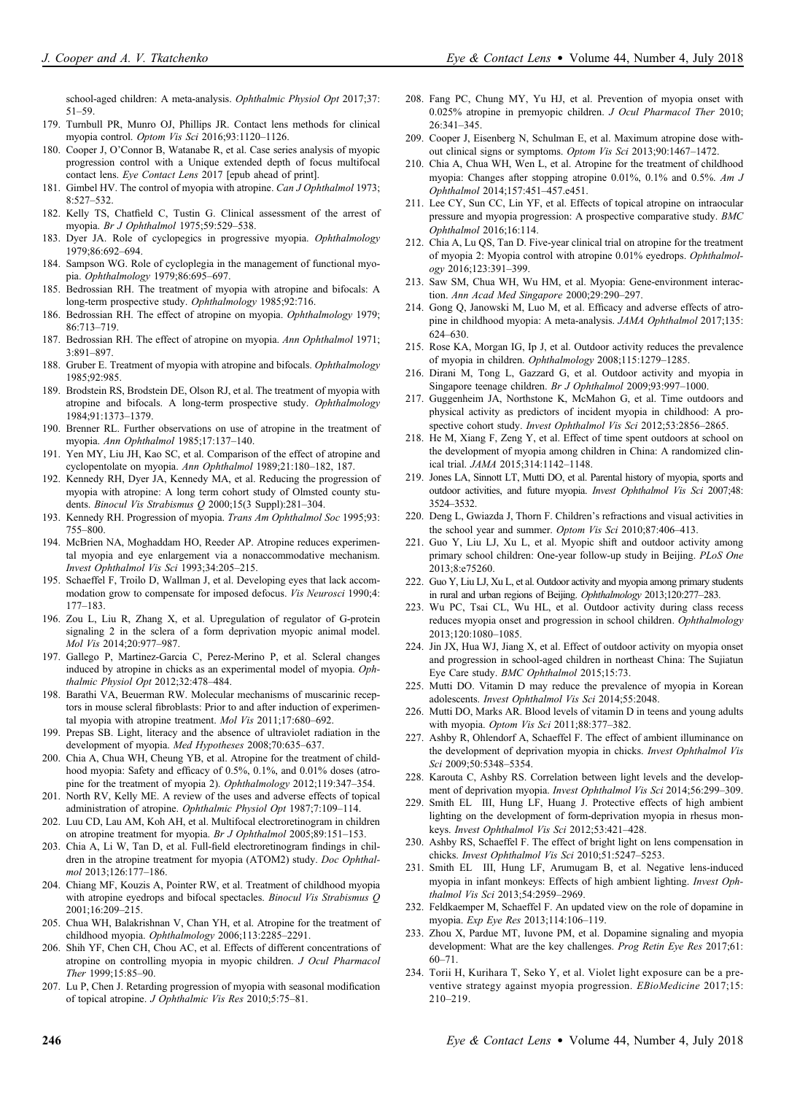school-aged children: A meta-analysis. Ophthalmic Physiol Opt 2017;37: 51–59.

- 179. Turnbull PR, Munro OJ, Phillips JR. Contact lens methods for clinical myopia control. Optom Vis Sci 2016;93:1120–1126.
- 180. Cooper J, O'Connor B, Watanabe R, et al. Case series analysis of myopic progression control with a Unique extended depth of focus multifocal contact lens. Eye Contact Lens 2017 [epub ahead of print].
- 181. Gimbel HV. The control of myopia with atropine. Can J Ophthalmol 1973; 8:527–532.
- 182. Kelly TS, Chatfield C, Tustin G. Clinical assessment of the arrest of myopia. Br J Ophthalmol 1975;59:529–538.
- 183. Dyer JA. Role of cyclopegics in progressive myopia. Ophthalmology 1979;86:692–694.
- 184. Sampson WG. Role of cycloplegia in the management of functional myopia. Ophthalmology 1979;86:695–697.
- 185. Bedrossian RH. The treatment of myopia with atropine and bifocals: A long-term prospective study. Ophthalmology 1985;92:716.
- 186. Bedrossian RH. The effect of atropine on myopia. Ophthalmology 1979; 86:713–719.
- 187. Bedrossian RH. The effect of atropine on myopia. Ann Ophthalmol 1971; 3:891–897.
- 188. Gruber E. Treatment of myopia with atropine and bifocals. Ophthalmology 1985;92:985.
- 189. Brodstein RS, Brodstein DE, Olson RJ, et al. The treatment of myopia with atropine and bifocals. A long-term prospective study. Ophthalmology 1984;91:1373–1379.
- 190. Brenner RL. Further observations on use of atropine in the treatment of myopia. Ann Ophthalmol 1985;17:137–140.
- 191. Yen MY, Liu JH, Kao SC, et al. Comparison of the effect of atropine and cyclopentolate on myopia. Ann Ophthalmol 1989;21:180–182, 187.
- 192. Kennedy RH, Dyer JA, Kennedy MA, et al. Reducing the progression of myopia with atropine: A long term cohort study of Olmsted county students. Binocul Vis Strabismus Q 2000;15(3 Suppl):281-304.
- 193. Kennedy RH. Progression of myopia. Trans Am Ophthalmol Soc 1995;93: 755–800.
- 194. McBrien NA, Moghaddam HO, Reeder AP. Atropine reduces experimental myopia and eye enlargement via a nonaccommodative mechanism. Invest Ophthalmol Vis Sci 1993;34:205–215.
- 195. Schaeffel F, Troilo D, Wallman J, et al. Developing eyes that lack accommodation grow to compensate for imposed defocus. Vis Neurosci 1990;4: 177–183.
- 196. Zou L, Liu R, Zhang X, et al. Upregulation of regulator of G-protein signaling 2 in the sclera of a form deprivation myopic animal model. Mol Vis 2014;20:977–987.
- 197. Gallego P, Martinez-Garcia C, Perez-Merino P, et al. Scleral changes induced by atropine in chicks as an experimental model of myopia. Ophthalmic Physiol Opt 2012;32:478–484.
- 198. Barathi VA, Beuerman RW. Molecular mechanisms of muscarinic receptors in mouse scleral fibroblasts: Prior to and after induction of experimental myopia with atropine treatment. Mol Vis 2011;17:680–692.
- 199. Prepas SB. Light, literacy and the absence of ultraviolet radiation in the development of myopia. Med Hypotheses 2008;70:635–637.
- 200. Chia A, Chua WH, Cheung YB, et al. Atropine for the treatment of childhood myopia: Safety and efficacy of 0.5%, 0.1%, and 0.01% doses (atropine for the treatment of myopia 2). Ophthalmology 2012;119:347–354.
- 201. North RV, Kelly ME. A review of the uses and adverse effects of topical administration of atropine. Ophthalmic Physiol Opt 1987;7:109-114.
- 202. Luu CD, Lau AM, Koh AH, et al. Multifocal electroretinogram in children on atropine treatment for myopia. Br J Ophthalmol 2005;89:151–153.
- 203. Chia A, Li W, Tan D, et al. Full-field electroretinogram findings in children in the atropine treatment for myopia (ATOM2) study. Doc Ophthalmol 2013;126:177–186.
- 204. Chiang MF, Kouzis A, Pointer RW, et al. Treatment of childhood myopia with atropine eyedrops and bifocal spectacles. Binocul Vis Strabismus Q 2001;16:209–215.
- 205. Chua WH, Balakrishnan V, Chan YH, et al. Atropine for the treatment of childhood myopia. Ophthalmology 2006;113:2285–2291.
- 206. Shih YF, Chen CH, Chou AC, et al. Effects of different concentrations of atropine on controlling myopia in myopic children. J Ocul Pharmacol Ther 1999;15:85–90.
- 207. Lu P, Chen J. Retarding progression of myopia with seasonal modification of topical atropine. J Ophthalmic Vis Res 2010;5:75–81.
- 208. Fang PC, Chung MY, Yu HJ, et al. Prevention of myopia onset with 0.025% atropine in premyopic children. J Ocul Pharmacol Ther 2010; 26:341–345.
- 209. Cooper J, Eisenberg N, Schulman E, et al. Maximum atropine dose without clinical signs or symptoms. Optom Vis Sci 2013;90:1467–1472.
- 210. Chia A, Chua WH, Wen L, et al. Atropine for the treatment of childhood myopia: Changes after stopping atropine 0.01%, 0.1% and 0.5%. Am J Ophthalmol 2014;157:451–457.e451.
- 211. Lee CY, Sun CC, Lin YF, et al. Effects of topical atropine on intraocular pressure and myopia progression: A prospective comparative study. BMC Ophthalmol 2016;16:114.
- 212. Chia A, Lu QS, Tan D. Five-year clinical trial on atropine for the treatment of myopia 2: Myopia control with atropine 0.01% eyedrops. Ophthalmology 2016;123:391–399.
- 213. Saw SM, Chua WH, Wu HM, et al. Myopia: Gene-environment interaction. Ann Acad Med Singapore 2000;29:290–297.
- 214. Gong Q, Janowski M, Luo M, et al. Efficacy and adverse effects of atropine in childhood myopia: A meta-analysis. JAMA Ophthalmol 2017;135: 624–630.
- 215. Rose KA, Morgan IG, Ip J, et al. Outdoor activity reduces the prevalence of myopia in children. Ophthalmology 2008;115:1279–1285.
- 216. Dirani M, Tong L, Gazzard G, et al. Outdoor activity and myopia in Singapore teenage children. Br J Ophthalmol 2009;93:997–1000.
- 217. Guggenheim JA, Northstone K, McMahon G, et al. Time outdoors and physical activity as predictors of incident myopia in childhood: A prospective cohort study. Invest Ophthalmol Vis Sci 2012;53:2856–2865.
- 218. He M, Xiang F, Zeng Y, et al. Effect of time spent outdoors at school on the development of myopia among children in China: A randomized clinical trial. JAMA 2015;314:1142–1148.
- 219. Jones LA, Sinnott LT, Mutti DO, et al. Parental history of myopia, sports and outdoor activities, and future myopia. Invest Ophthalmol Vis Sci 2007;48: 3524–3532.
- 220. Deng L, Gwiazda J, Thorn F. Children's refractions and visual activities in the school year and summer. Optom Vis Sci 2010;87:406-413.
- 221. Guo Y, Liu LJ, Xu L, et al. Myopic shift and outdoor activity among primary school children: One-year follow-up study in Beijing. PLoS One 2013;8:e75260.
- 222. Guo Y, Liu LJ, Xu L, et al. Outdoor activity and myopia among primary students in rural and urban regions of Beijing. Ophthalmology 2013;120:277–283.
- 223. Wu PC, Tsai CL, Wu HL, et al. Outdoor activity during class recess reduces myopia onset and progression in school children. Ophthalmology 2013;120:1080–1085.
- 224. Jin JX, Hua WJ, Jiang X, et al. Effect of outdoor activity on myopia onset and progression in school-aged children in northeast China: The Sujiatun Eye Care study. BMC Ophthalmol 2015;15:73.
- 225. Mutti DO. Vitamin D may reduce the prevalence of myopia in Korean adolescents. Invest Ophthalmol Vis Sci 2014;55:2048.
- 226. Mutti DO, Marks AR. Blood levels of vitamin D in teens and young adults with myopia. Optom Vis Sci 2011;88:377–382.
- 227. Ashby R, Ohlendorf A, Schaeffel F. The effect of ambient illuminance on the development of deprivation myopia in chicks. Invest Ophthalmol Vis Sci 2009;50:5348–5354.
- 228. Karouta C, Ashby RS. Correlation between light levels and the development of deprivation myopia. Invest Ophthalmol Vis Sci 2014;56:299–309.
- 229. Smith EL III, Hung LF, Huang J. Protective effects of high ambient lighting on the development of form-deprivation myopia in rhesus monkeys. Invest Ophthalmol Vis Sci 2012;53:421–428.
- 230. Ashby RS, Schaeffel F. The effect of bright light on lens compensation in chicks. Invest Ophthalmol Vis Sci 2010;51:5247–5253.
- 231. Smith EL III, Hung LF, Arumugam B, et al. Negative lens-induced myopia in infant monkeys: Effects of high ambient lighting. Invest Ophthalmol Vis Sci 2013;54:2959–2969.
- 232. Feldkaemper M, Schaeffel F. An updated view on the role of dopamine in myopia. Exp Eye Res 2013;114:106–119.
- 233. Zhou X, Pardue MT, Iuvone PM, et al. Dopamine signaling and myopia development: What are the key challenges. Prog Retin Eye Res 2017;61: 60–71.
- 234. Torii H, Kurihara T, Seko Y, et al. Violet light exposure can be a preventive strategy against myopia progression. EBioMedicine 2017;15: 210–219.